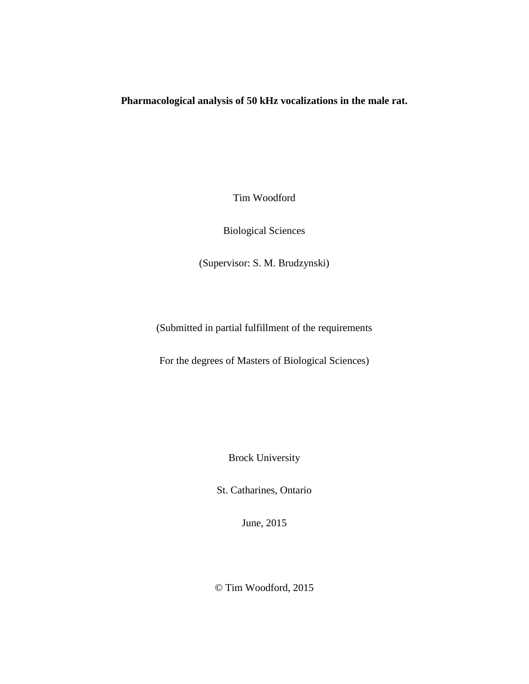## **Pharmacological analysis of 50 kHz vocalizations in the male rat.**

Tim Woodford

Biological Sciences

(Supervisor: S. M. Brudzynski)

(Submitted in partial fulfillment of the requirements

For the degrees of Masters of Biological Sciences)

Brock University

St. Catharines, Ontario

June, 2015

© Tim Woodford, 2015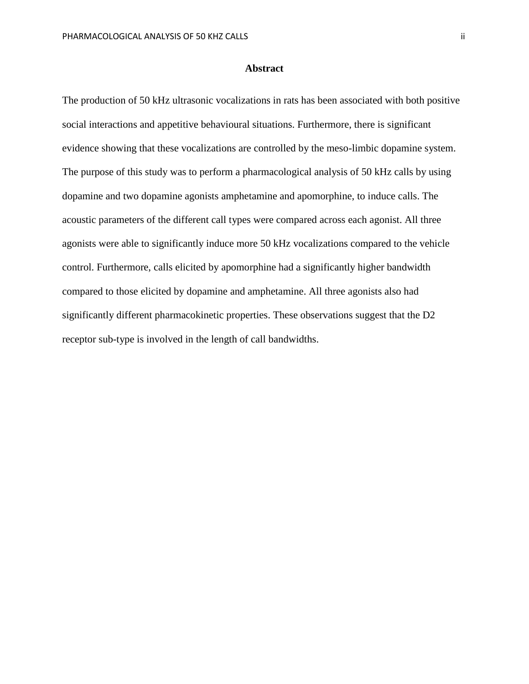#### **Abstract**

The production of 50 kHz ultrasonic vocalizations in rats has been associated with both positive social interactions and appetitive behavioural situations. Furthermore, there is significant evidence showing that these vocalizations are controlled by the meso-limbic dopamine system. The purpose of this study was to perform a pharmacological analysis of 50 kHz calls by using dopamine and two dopamine agonists amphetamine and apomorphine, to induce calls. The acoustic parameters of the different call types were compared across each agonist. All three agonists were able to significantly induce more 50 kHz vocalizations compared to the vehicle control. Furthermore, calls elicited by apomorphine had a significantly higher bandwidth compared to those elicited by dopamine and amphetamine. All three agonists also had significantly different pharmacokinetic properties. These observations suggest that the D2 receptor sub-type is involved in the length of call bandwidths.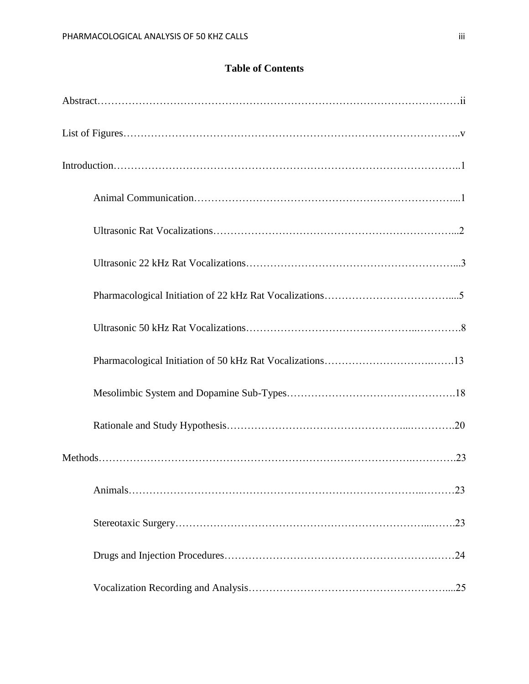## **Table of Contents**

| .23 |
|-----|
|     |
|     |
|     |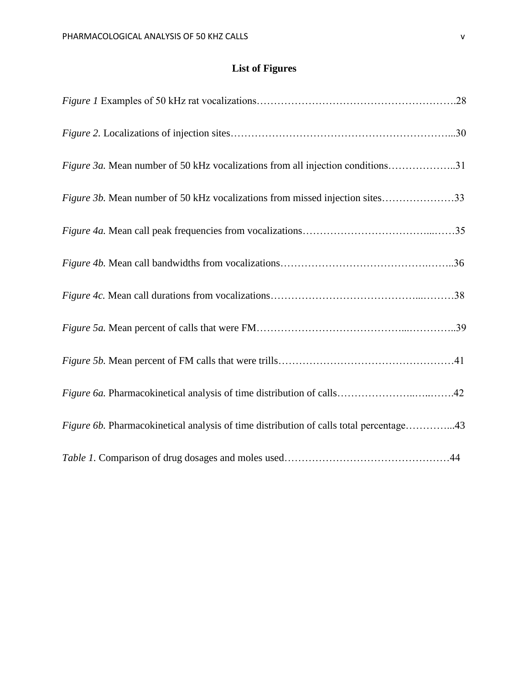# **List of Figures**

| Figure 3a. Mean number of 50 kHz vocalizations from all injection conditions31         |  |
|----------------------------------------------------------------------------------------|--|
| <i>Figure 3b.</i> Mean number of 50 kHz vocalizations from missed injection sites33    |  |
|                                                                                        |  |
|                                                                                        |  |
|                                                                                        |  |
|                                                                                        |  |
|                                                                                        |  |
|                                                                                        |  |
| Figure 6b. Pharmacokinetical analysis of time distribution of calls total percentage43 |  |
|                                                                                        |  |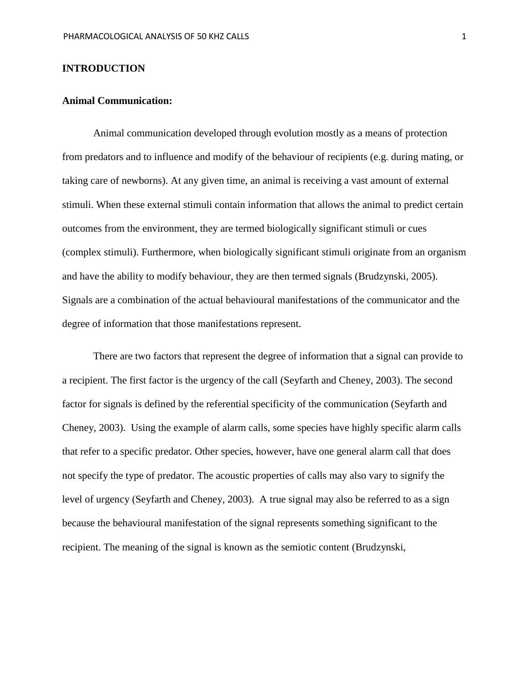#### **INTRODUCTION**

### **Animal Communication:**

Animal communication developed through evolution mostly as a means of protection from predators and to influence and modify of the behaviour of recipients (e.g. during mating, or taking care of newborns). At any given time, an animal is receiving a vast amount of external stimuli. When these external stimuli contain information that allows the animal to predict certain outcomes from the environment, they are termed biologically significant stimuli or cues (complex stimuli). Furthermore, when biologically significant stimuli originate from an organism and have the ability to modify behaviour, they are then termed signals (Brudzynski, 2005). Signals are a combination of the actual behavioural manifestations of the communicator and the degree of information that those manifestations represent.

There are two factors that represent the degree of information that a signal can provide to a recipient. The first factor is the urgency of the call (Seyfarth and Cheney, 2003). The second factor for signals is defined by the referential specificity of the communication (Seyfarth and Cheney, 2003). Using the example of alarm calls, some species have highly specific alarm calls that refer to a specific predator. Other species, however, have one general alarm call that does not specify the type of predator. The acoustic properties of calls may also vary to signify the level of urgency (Seyfarth and Cheney, 2003). A true signal may also be referred to as a sign because the behavioural manifestation of the signal represents something significant to the recipient. The meaning of the signal is known as the semiotic content (Brudzynski,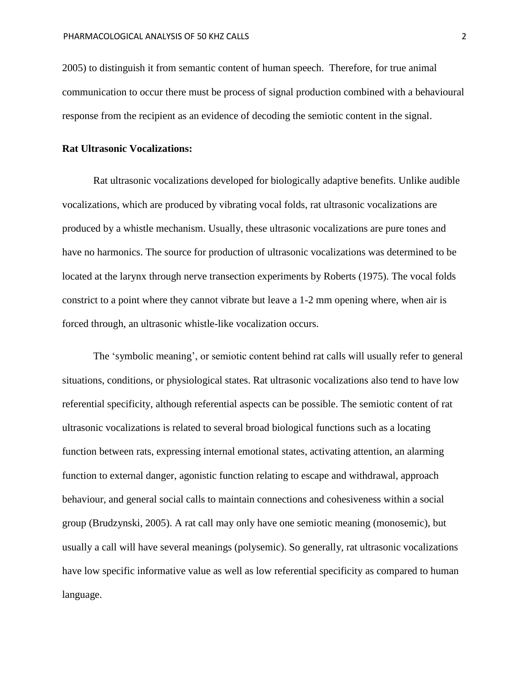2005) to distinguish it from semantic content of human speech. Therefore, for true animal communication to occur there must be process of signal production combined with a behavioural response from the recipient as an evidence of decoding the semiotic content in the signal.

#### **Rat Ultrasonic Vocalizations:**

Rat ultrasonic vocalizations developed for biologically adaptive benefits. Unlike audible vocalizations, which are produced by vibrating vocal folds, rat ultrasonic vocalizations are produced by a whistle mechanism. Usually, these ultrasonic vocalizations are pure tones and have no harmonics. The source for production of ultrasonic vocalizations was determined to be located at the larynx through nerve transection experiments by Roberts (1975). The vocal folds constrict to a point where they cannot vibrate but leave a 1-2 mm opening where, when air is forced through, an ultrasonic whistle-like vocalization occurs.

The 'symbolic meaning', or semiotic content behind rat calls will usually refer to general situations, conditions, or physiological states. Rat ultrasonic vocalizations also tend to have low referential specificity, although referential aspects can be possible. The semiotic content of rat ultrasonic vocalizations is related to several broad biological functions such as a locating function between rats, expressing internal emotional states, activating attention, an alarming function to external danger, agonistic function relating to escape and withdrawal, approach behaviour, and general social calls to maintain connections and cohesiveness within a social group (Brudzynski, 2005). A rat call may only have one semiotic meaning (monosemic), but usually a call will have several meanings (polysemic). So generally, rat ultrasonic vocalizations have low specific informative value as well as low referential specificity as compared to human language.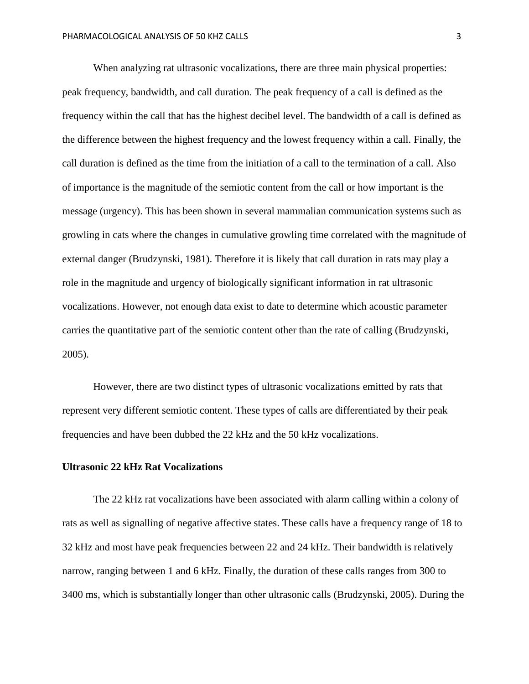When analyzing rat ultrasonic vocalizations, there are three main physical properties: peak frequency, bandwidth, and call duration. The peak frequency of a call is defined as the frequency within the call that has the highest decibel level. The bandwidth of a call is defined as the difference between the highest frequency and the lowest frequency within a call. Finally, the call duration is defined as the time from the initiation of a call to the termination of a call. Also of importance is the magnitude of the semiotic content from the call or how important is the message (urgency). This has been shown in several mammalian communication systems such as growling in cats where the changes in cumulative growling time correlated with the magnitude of external danger (Brudzynski, 1981). Therefore it is likely that call duration in rats may play a role in the magnitude and urgency of biologically significant information in rat ultrasonic vocalizations. However, not enough data exist to date to determine which acoustic parameter carries the quantitative part of the semiotic content other than the rate of calling (Brudzynski, 2005).

However, there are two distinct types of ultrasonic vocalizations emitted by rats that represent very different semiotic content. These types of calls are differentiated by their peak frequencies and have been dubbed the 22 kHz and the 50 kHz vocalizations.

#### **Ultrasonic 22 kHz Rat Vocalizations**

The 22 kHz rat vocalizations have been associated with alarm calling within a colony of rats as well as signalling of negative affective states. These calls have a frequency range of 18 to 32 kHz and most have peak frequencies between 22 and 24 kHz. Their bandwidth is relatively narrow, ranging between 1 and 6 kHz. Finally, the duration of these calls ranges from 300 to 3400 ms, which is substantially longer than other ultrasonic calls (Brudzynski, 2005). During the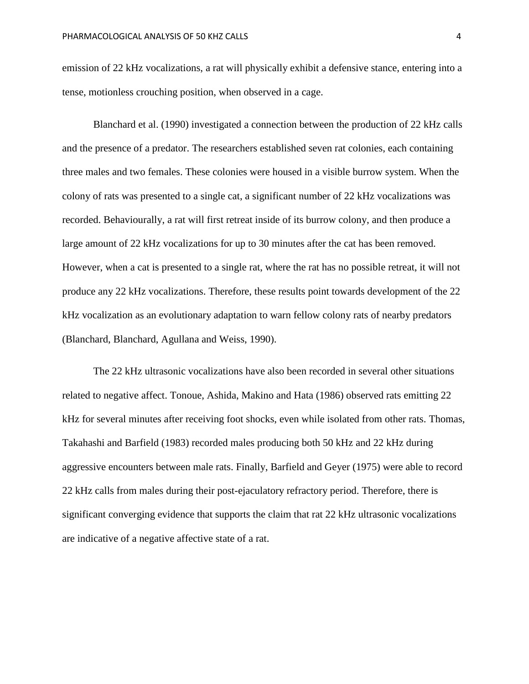emission of 22 kHz vocalizations, a rat will physically exhibit a defensive stance, entering into a tense, motionless crouching position, when observed in a cage.

Blanchard et al. (1990) investigated a connection between the production of 22 kHz calls and the presence of a predator. The researchers established seven rat colonies, each containing three males and two females. These colonies were housed in a visible burrow system. When the colony of rats was presented to a single cat, a significant number of 22 kHz vocalizations was recorded. Behaviourally, a rat will first retreat inside of its burrow colony, and then produce a large amount of 22 kHz vocalizations for up to 30 minutes after the cat has been removed. However, when a cat is presented to a single rat, where the rat has no possible retreat, it will not produce any 22 kHz vocalizations. Therefore, these results point towards development of the 22 kHz vocalization as an evolutionary adaptation to warn fellow colony rats of nearby predators (Blanchard, Blanchard, Agullana and Weiss, 1990).

The 22 kHz ultrasonic vocalizations have also been recorded in several other situations related to negative affect. Tonoue, Ashida, Makino and Hata (1986) observed rats emitting 22 kHz for several minutes after receiving foot shocks, even while isolated from other rats. Thomas, Takahashi and Barfield (1983) recorded males producing both 50 kHz and 22 kHz during aggressive encounters between male rats. Finally, Barfield and Geyer (1975) were able to record 22 kHz calls from males during their post-ejaculatory refractory period. Therefore, there is significant converging evidence that supports the claim that rat 22 kHz ultrasonic vocalizations are indicative of a negative affective state of a rat.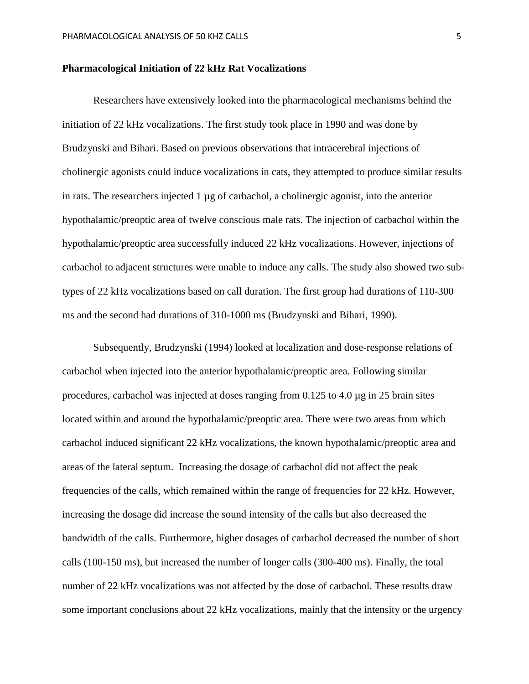#### **Pharmacological Initiation of 22 kHz Rat Vocalizations**

Researchers have extensively looked into the pharmacological mechanisms behind the initiation of 22 kHz vocalizations. The first study took place in 1990 and was done by Brudzynski and Bihari. Based on previous observations that intracerebral injections of cholinergic agonists could induce vocalizations in cats, they attempted to produce similar results in rats. The researchers injected  $1 \mu$ g of carbachol, a cholinergic agonist, into the anterior hypothalamic/preoptic area of twelve conscious male rats. The injection of carbachol within the hypothalamic/preoptic area successfully induced 22 kHz vocalizations. However, injections of carbachol to adjacent structures were unable to induce any calls. The study also showed two subtypes of 22 kHz vocalizations based on call duration. The first group had durations of 110-300 ms and the second had durations of 310-1000 ms (Brudzynski and Bihari, 1990).

Subsequently, Brudzynski (1994) looked at localization and dose-response relations of carbachol when injected into the anterior hypothalamic/preoptic area. Following similar procedures, carbachol was injected at doses ranging from 0.125 to 4.0 µg in 25 brain sites located within and around the hypothalamic/preoptic area. There were two areas from which carbachol induced significant 22 kHz vocalizations, the known hypothalamic/preoptic area and areas of the lateral septum. Increasing the dosage of carbachol did not affect the peak frequencies of the calls, which remained within the range of frequencies for 22 kHz. However, increasing the dosage did increase the sound intensity of the calls but also decreased the bandwidth of the calls. Furthermore, higher dosages of carbachol decreased the number of short calls (100-150 ms), but increased the number of longer calls (300-400 ms). Finally, the total number of 22 kHz vocalizations was not affected by the dose of carbachol. These results draw some important conclusions about 22 kHz vocalizations, mainly that the intensity or the urgency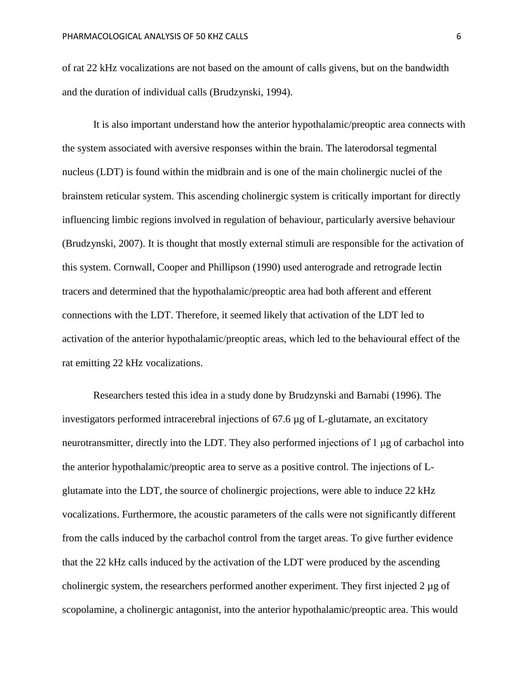of rat 22 kHz vocalizations are not based on the amount of calls givens, but on the bandwidth and the duration of individual calls (Brudzynski, 1994).

It is also important understand how the anterior hypothalamic/preoptic area connects with the system associated with aversive responses within the brain. The laterodorsal tegmental nucleus (LDT) is found within the midbrain and is one of the main cholinergic nuclei of the brainstem reticular system. This ascending cholinergic system is critically important for directly influencing limbic regions involved in regulation of behaviour, particularly aversive behaviour (Brudzynski, 2007). It is thought that mostly external stimuli are responsible for the activation of this system. Cornwall, Cooper and Phillipson (1990) used anterograde and retrograde lectin tracers and determined that the hypothalamic/preoptic area had both afferent and efferent connections with the LDT. Therefore, it seemed likely that activation of the LDT led to activation of the anterior hypothalamic/preoptic areas, which led to the behavioural effect of the rat emitting 22 kHz vocalizations.

Researchers tested this idea in a study done by Brudzynski and Barnabi (1996). The investigators performed intracerebral injections of 67.6 µg of L-glutamate, an excitatory neurotransmitter, directly into the LDT. They also performed injections of 1 μg of carbachol into the anterior hypothalamic/preoptic area to serve as a positive control. The injections of Lglutamate into the LDT, the source of cholinergic projections, were able to induce 22 kHz vocalizations. Furthermore, the acoustic parameters of the calls were not significantly different from the calls induced by the carbachol control from the target areas. To give further evidence that the 22 kHz calls induced by the activation of the LDT were produced by the ascending cholinergic system, the researchers performed another experiment. They first injected 2 µg of scopolamine, a cholinergic antagonist, into the anterior hypothalamic/preoptic area. This would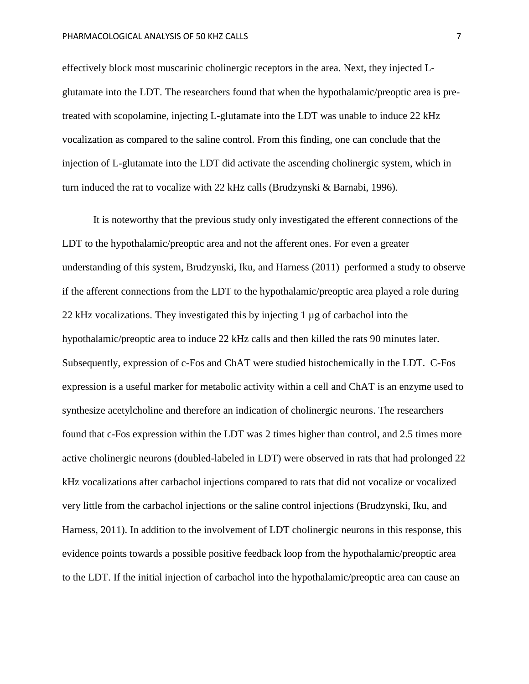effectively block most muscarinic cholinergic receptors in the area. Next, they injected Lglutamate into the LDT. The researchers found that when the hypothalamic/preoptic area is pretreated with scopolamine, injecting L-glutamate into the LDT was unable to induce 22 kHz vocalization as compared to the saline control. From this finding, one can conclude that the injection of L-glutamate into the LDT did activate the ascending cholinergic system, which in turn induced the rat to vocalize with 22 kHz calls (Brudzynski & Barnabi, 1996).

It is noteworthy that the previous study only investigated the efferent connections of the LDT to the hypothalamic/preoptic area and not the afferent ones. For even a greater understanding of this system, Brudzynski, Iku, and Harness (2011) performed a study to observe if the afferent connections from the LDT to the hypothalamic/preoptic area played a role during 22 kHz vocalizations. They investigated this by injecting 1 µg of carbachol into the hypothalamic/preoptic area to induce 22 kHz calls and then killed the rats 90 minutes later. Subsequently, expression of c-Fos and ChAT were studied histochemically in the LDT. C-Fos expression is a useful marker for metabolic activity within a cell and ChAT is an enzyme used to synthesize acetylcholine and therefore an indication of cholinergic neurons. The researchers found that c-Fos expression within the LDT was 2 times higher than control, and 2.5 times more active cholinergic neurons (doubled-labeled in LDT) were observed in rats that had prolonged 22 kHz vocalizations after carbachol injections compared to rats that did not vocalize or vocalized very little from the carbachol injections or the saline control injections (Brudzynski, Iku, and Harness, 2011). In addition to the involvement of LDT cholinergic neurons in this response, this evidence points towards a possible positive feedback loop from the hypothalamic/preoptic area to the LDT. If the initial injection of carbachol into the hypothalamic/preoptic area can cause an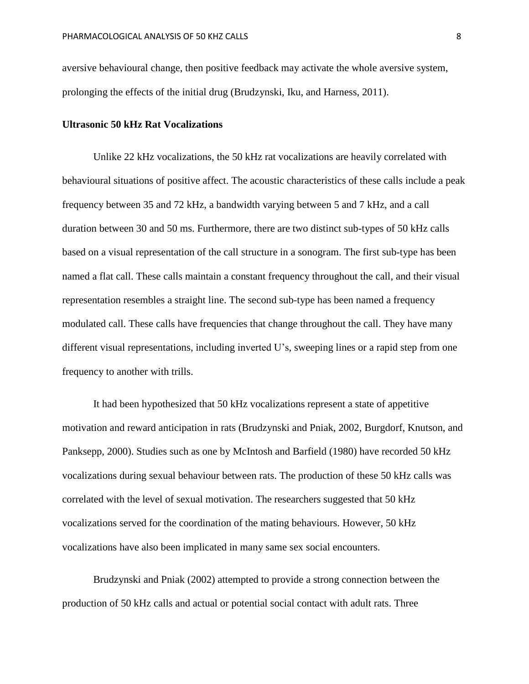aversive behavioural change, then positive feedback may activate the whole aversive system, prolonging the effects of the initial drug (Brudzynski, Iku, and Harness, 2011).

#### **Ultrasonic 50 kHz Rat Vocalizations**

Unlike 22 kHz vocalizations, the 50 kHz rat vocalizations are heavily correlated with behavioural situations of positive affect. The acoustic characteristics of these calls include a peak frequency between 35 and 72 kHz, a bandwidth varying between 5 and 7 kHz, and a call duration between 30 and 50 ms. Furthermore, there are two distinct sub-types of 50 kHz calls based on a visual representation of the call structure in a sonogram. The first sub-type has been named a flat call. These calls maintain a constant frequency throughout the call, and their visual representation resembles a straight line. The second sub-type has been named a frequency modulated call. These calls have frequencies that change throughout the call. They have many different visual representations, including inverted U's, sweeping lines or a rapid step from one frequency to another with trills.

It had been hypothesized that 50 kHz vocalizations represent a state of appetitive motivation and reward anticipation in rats (Brudzynski and Pniak, 2002, Burgdorf, Knutson, and Panksepp, 2000). Studies such as one by McIntosh and Barfield (1980) have recorded 50 kHz vocalizations during sexual behaviour between rats. The production of these 50 kHz calls was correlated with the level of sexual motivation. The researchers suggested that 50 kHz vocalizations served for the coordination of the mating behaviours. However, 50 kHz vocalizations have also been implicated in many same sex social encounters.

Brudzynski and Pniak (2002) attempted to provide a strong connection between the production of 50 kHz calls and actual or potential social contact with adult rats. Three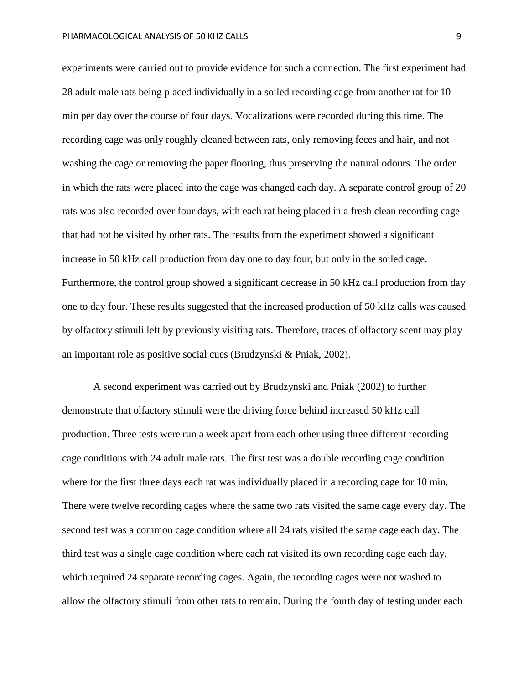experiments were carried out to provide evidence for such a connection. The first experiment had 28 adult male rats being placed individually in a soiled recording cage from another rat for 10 min per day over the course of four days. Vocalizations were recorded during this time. The recording cage was only roughly cleaned between rats, only removing feces and hair, and not washing the cage or removing the paper flooring, thus preserving the natural odours. The order in which the rats were placed into the cage was changed each day. A separate control group of 20 rats was also recorded over four days, with each rat being placed in a fresh clean recording cage that had not be visited by other rats. The results from the experiment showed a significant increase in 50 kHz call production from day one to day four, but only in the soiled cage. Furthermore, the control group showed a significant decrease in 50 kHz call production from day one to day four. These results suggested that the increased production of 50 kHz calls was caused by olfactory stimuli left by previously visiting rats. Therefore, traces of olfactory scent may play an important role as positive social cues (Brudzynski & Pniak, 2002).

A second experiment was carried out by Brudzynski and Pniak (2002) to further demonstrate that olfactory stimuli were the driving force behind increased 50 kHz call production. Three tests were run a week apart from each other using three different recording cage conditions with 24 adult male rats. The first test was a double recording cage condition where for the first three days each rat was individually placed in a recording cage for 10 min. There were twelve recording cages where the same two rats visited the same cage every day. The second test was a common cage condition where all 24 rats visited the same cage each day. The third test was a single cage condition where each rat visited its own recording cage each day, which required 24 separate recording cages. Again, the recording cages were not washed to allow the olfactory stimuli from other rats to remain. During the fourth day of testing under each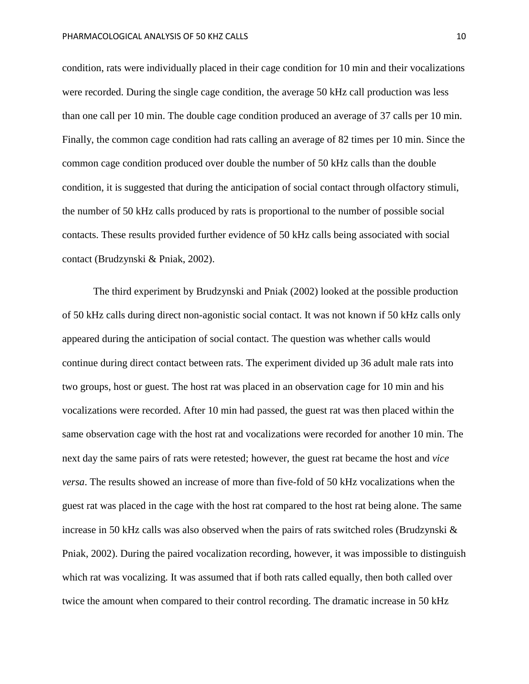condition, rats were individually placed in their cage condition for 10 min and their vocalizations were recorded. During the single cage condition, the average 50 kHz call production was less than one call per 10 min. The double cage condition produced an average of 37 calls per 10 min. Finally, the common cage condition had rats calling an average of 82 times per 10 min. Since the common cage condition produced over double the number of 50 kHz calls than the double condition, it is suggested that during the anticipation of social contact through olfactory stimuli, the number of 50 kHz calls produced by rats is proportional to the number of possible social contacts. These results provided further evidence of 50 kHz calls being associated with social contact (Brudzynski & Pniak, 2002).

The third experiment by Brudzynski and Pniak (2002) looked at the possible production of 50 kHz calls during direct non-agonistic social contact. It was not known if 50 kHz calls only appeared during the anticipation of social contact. The question was whether calls would continue during direct contact between rats. The experiment divided up 36 adult male rats into two groups, host or guest. The host rat was placed in an observation cage for 10 min and his vocalizations were recorded. After 10 min had passed, the guest rat was then placed within the same observation cage with the host rat and vocalizations were recorded for another 10 min. The next day the same pairs of rats were retested; however, the guest rat became the host and *vice versa*. The results showed an increase of more than five-fold of 50 kHz vocalizations when the guest rat was placed in the cage with the host rat compared to the host rat being alone. The same increase in 50 kHz calls was also observed when the pairs of rats switched roles (Brudzynski & Pniak, 2002). During the paired vocalization recording, however, it was impossible to distinguish which rat was vocalizing. It was assumed that if both rats called equally, then both called over twice the amount when compared to their control recording. The dramatic increase in 50 kHz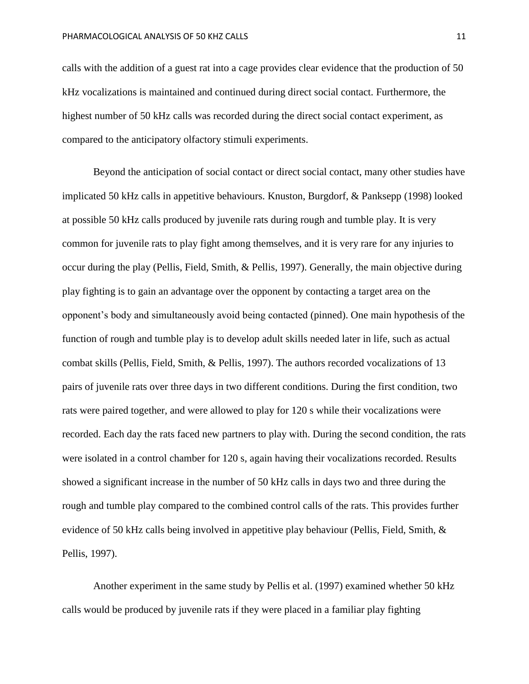calls with the addition of a guest rat into a cage provides clear evidence that the production of 50 kHz vocalizations is maintained and continued during direct social contact. Furthermore, the highest number of 50 kHz calls was recorded during the direct social contact experiment, as compared to the anticipatory olfactory stimuli experiments.

Beyond the anticipation of social contact or direct social contact, many other studies have implicated 50 kHz calls in appetitive behaviours. Knuston, Burgdorf, & Panksepp (1998) looked at possible 50 kHz calls produced by juvenile rats during rough and tumble play. It is very common for juvenile rats to play fight among themselves, and it is very rare for any injuries to occur during the play (Pellis, Field, Smith, & Pellis, 1997). Generally, the main objective during play fighting is to gain an advantage over the opponent by contacting a target area on the opponent's body and simultaneously avoid being contacted (pinned). One main hypothesis of the function of rough and tumble play is to develop adult skills needed later in life, such as actual combat skills (Pellis, Field, Smith, & Pellis, 1997). The authors recorded vocalizations of 13 pairs of juvenile rats over three days in two different conditions. During the first condition, two rats were paired together, and were allowed to play for 120 s while their vocalizations were recorded. Each day the rats faced new partners to play with. During the second condition, the rats were isolated in a control chamber for 120 s, again having their vocalizations recorded. Results showed a significant increase in the number of 50 kHz calls in days two and three during the rough and tumble play compared to the combined control calls of the rats. This provides further evidence of 50 kHz calls being involved in appetitive play behaviour (Pellis, Field, Smith, & Pellis, 1997).

Another experiment in the same study by Pellis et al. (1997) examined whether 50 kHz calls would be produced by juvenile rats if they were placed in a familiar play fighting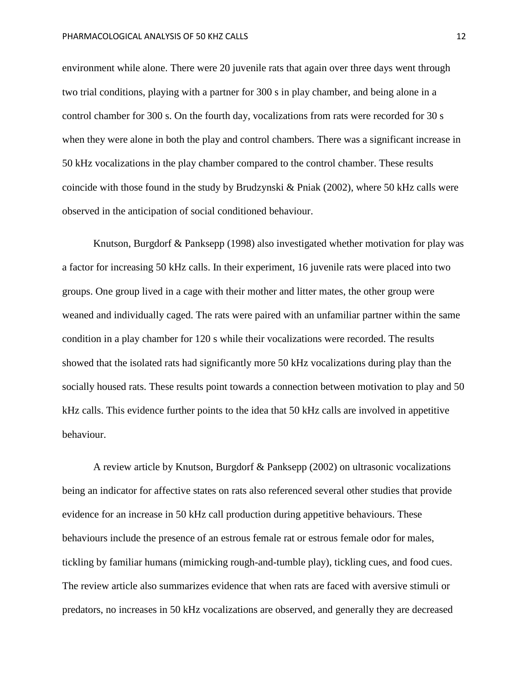environment while alone. There were 20 juvenile rats that again over three days went through two trial conditions, playing with a partner for 300 s in play chamber, and being alone in a control chamber for 300 s. On the fourth day, vocalizations from rats were recorded for 30 s when they were alone in both the play and control chambers. There was a significant increase in 50 kHz vocalizations in the play chamber compared to the control chamber. These results coincide with those found in the study by Brudzynski & Pniak (2002), where 50 kHz calls were observed in the anticipation of social conditioned behaviour.

Knutson, Burgdorf & Panksepp (1998) also investigated whether motivation for play was a factor for increasing 50 kHz calls. In their experiment, 16 juvenile rats were placed into two groups. One group lived in a cage with their mother and litter mates, the other group were weaned and individually caged. The rats were paired with an unfamiliar partner within the same condition in a play chamber for 120 s while their vocalizations were recorded. The results showed that the isolated rats had significantly more 50 kHz vocalizations during play than the socially housed rats. These results point towards a connection between motivation to play and 50 kHz calls. This evidence further points to the idea that 50 kHz calls are involved in appetitive behaviour.

A review article by Knutson, Burgdorf & Panksepp (2002) on ultrasonic vocalizations being an indicator for affective states on rats also referenced several other studies that provide evidence for an increase in 50 kHz call production during appetitive behaviours. These behaviours include the presence of an estrous female rat or estrous female odor for males, tickling by familiar humans (mimicking rough-and-tumble play), tickling cues, and food cues. The review article also summarizes evidence that when rats are faced with aversive stimuli or predators, no increases in 50 kHz vocalizations are observed, and generally they are decreased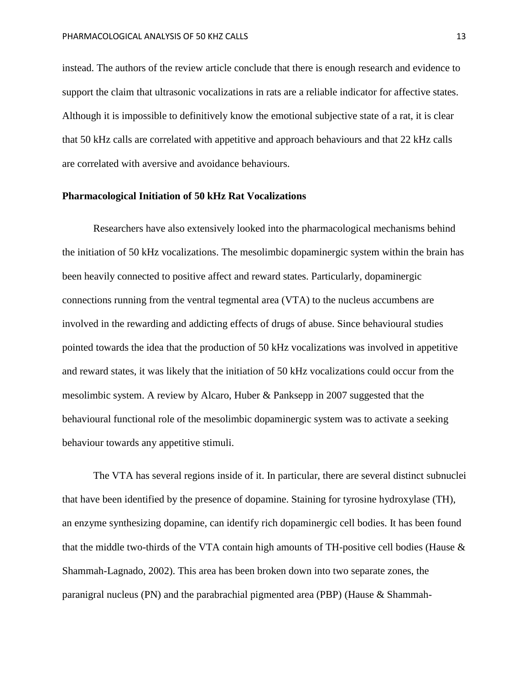instead. The authors of the review article conclude that there is enough research and evidence to support the claim that ultrasonic vocalizations in rats are a reliable indicator for affective states. Although it is impossible to definitively know the emotional subjective state of a rat, it is clear that 50 kHz calls are correlated with appetitive and approach behaviours and that 22 kHz calls are correlated with aversive and avoidance behaviours.

#### **Pharmacological Initiation of 50 kHz Rat Vocalizations**

Researchers have also extensively looked into the pharmacological mechanisms behind the initiation of 50 kHz vocalizations. The mesolimbic dopaminergic system within the brain has been heavily connected to positive affect and reward states. Particularly, dopaminergic connections running from the ventral tegmental area (VTA) to the nucleus accumbens are involved in the rewarding and addicting effects of drugs of abuse. Since behavioural studies pointed towards the idea that the production of 50 kHz vocalizations was involved in appetitive and reward states, it was likely that the initiation of 50 kHz vocalizations could occur from the mesolimbic system. A review by Alcaro, Huber & Panksepp in 2007 suggested that the behavioural functional role of the mesolimbic dopaminergic system was to activate a seeking behaviour towards any appetitive stimuli.

The VTA has several regions inside of it. In particular, there are several distinct subnuclei that have been identified by the presence of dopamine. Staining for tyrosine hydroxylase (TH), an enzyme synthesizing dopamine, can identify rich dopaminergic cell bodies. It has been found that the middle two-thirds of the VTA contain high amounts of TH-positive cell bodies (Hause & Shammah-Lagnado, 2002). This area has been broken down into two separate zones, the paranigral nucleus (PN) and the parabrachial pigmented area (PBP) (Hause & Shammah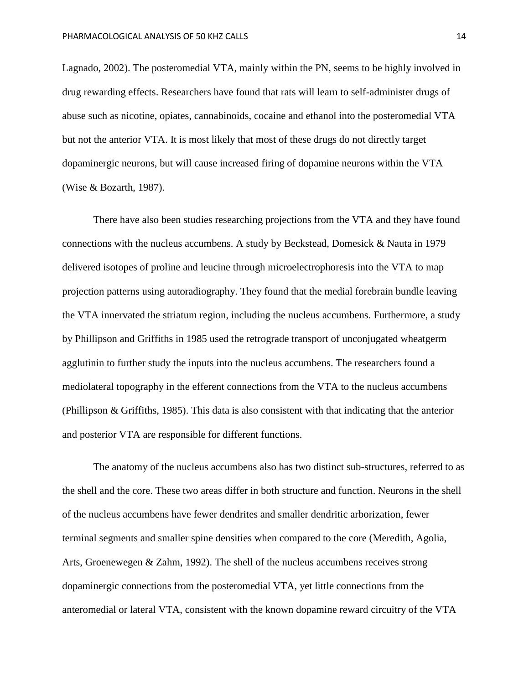Lagnado, 2002). The posteromedial VTA, mainly within the PN, seems to be highly involved in drug rewarding effects. Researchers have found that rats will learn to self-administer drugs of abuse such as nicotine, opiates, cannabinoids, cocaine and ethanol into the posteromedial VTA but not the anterior VTA. It is most likely that most of these drugs do not directly target dopaminergic neurons, but will cause increased firing of dopamine neurons within the VTA (Wise & Bozarth, 1987).

There have also been studies researching projections from the VTA and they have found connections with the nucleus accumbens. A study by Beckstead, Domesick & Nauta in 1979 delivered isotopes of proline and leucine through microelectrophoresis into the VTA to map projection patterns using autoradiography. They found that the medial forebrain bundle leaving the VTA innervated the striatum region, including the nucleus accumbens. Furthermore, a study by Phillipson and Griffiths in 1985 used the retrograde transport of unconjugated wheatgerm agglutinin to further study the inputs into the nucleus accumbens. The researchers found a mediolateral topography in the efferent connections from the VTA to the nucleus accumbens (Phillipson & Griffiths, 1985). This data is also consistent with that indicating that the anterior and posterior VTA are responsible for different functions.

The anatomy of the nucleus accumbens also has two distinct sub-structures, referred to as the shell and the core. These two areas differ in both structure and function. Neurons in the shell of the nucleus accumbens have fewer dendrites and smaller dendritic arborization, fewer terminal segments and smaller spine densities when compared to the core (Meredith, Agolia, Arts, Groenewegen & Zahm, 1992). The shell of the nucleus accumbens receives strong dopaminergic connections from the posteromedial VTA, yet little connections from the anteromedial or lateral VTA, consistent with the known dopamine reward circuitry of the VTA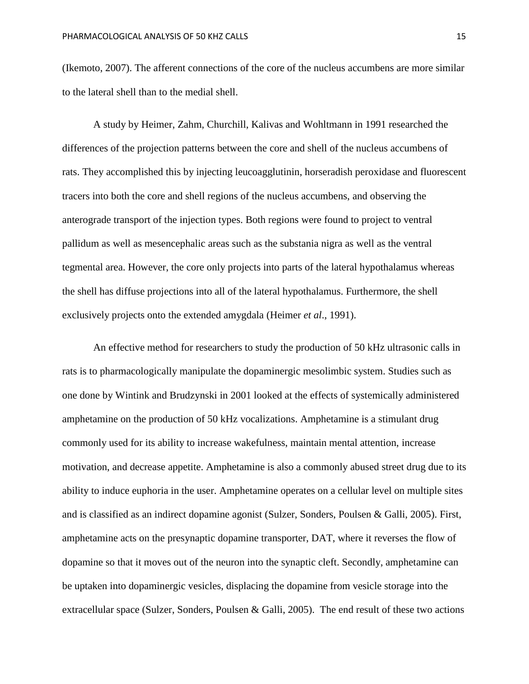(Ikemoto, 2007). The afferent connections of the core of the nucleus accumbens are more similar to the lateral shell than to the medial shell.

A study by Heimer, Zahm, Churchill, Kalivas and Wohltmann in 1991 researched the differences of the projection patterns between the core and shell of the nucleus accumbens of rats. They accomplished this by injecting leucoagglutinin, horseradish peroxidase and fluorescent tracers into both the core and shell regions of the nucleus accumbens, and observing the anterograde transport of the injection types. Both regions were found to project to ventral pallidum as well as mesencephalic areas such as the substania nigra as well as the ventral tegmental area. However, the core only projects into parts of the lateral hypothalamus whereas the shell has diffuse projections into all of the lateral hypothalamus. Furthermore, the shell exclusively projects onto the extended amygdala (Heimer *et al*., 1991).

An effective method for researchers to study the production of 50 kHz ultrasonic calls in rats is to pharmacologically manipulate the dopaminergic mesolimbic system. Studies such as one done by Wintink and Brudzynski in 2001 looked at the effects of systemically administered amphetamine on the production of 50 kHz vocalizations. Amphetamine is a stimulant drug commonly used for its ability to increase wakefulness, maintain mental attention, increase motivation, and decrease appetite. Amphetamine is also a commonly abused street drug due to its ability to induce euphoria in the user. Amphetamine operates on a cellular level on multiple sites and is classified as an indirect dopamine agonist (Sulzer, Sonders, Poulsen & Galli, 2005). First, amphetamine acts on the presynaptic dopamine transporter, DAT, where it reverses the flow of dopamine so that it moves out of the neuron into the synaptic cleft. Secondly, amphetamine can be uptaken into dopaminergic vesicles, displacing the dopamine from vesicle storage into the extracellular space (Sulzer, Sonders, Poulsen & Galli, 2005). The end result of these two actions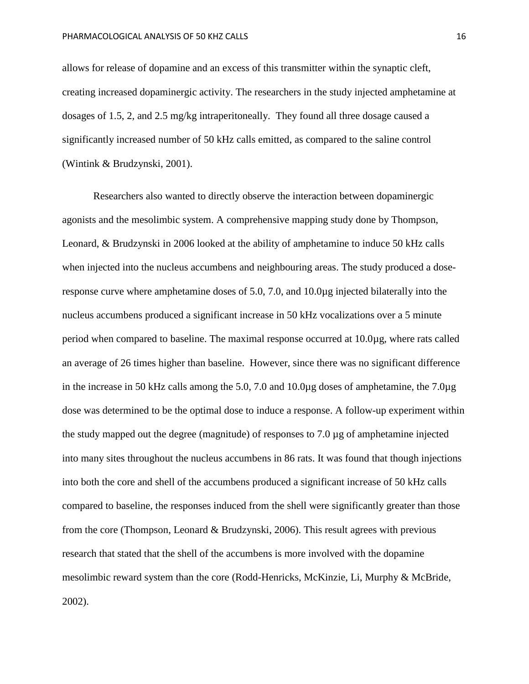allows for release of dopamine and an excess of this transmitter within the synaptic cleft, creating increased dopaminergic activity. The researchers in the study injected amphetamine at dosages of 1.5, 2, and 2.5 mg/kg intraperitoneally. They found all three dosage caused a significantly increased number of 50 kHz calls emitted, as compared to the saline control (Wintink & Brudzynski, 2001).

Researchers also wanted to directly observe the interaction between dopaminergic agonists and the mesolimbic system. A comprehensive mapping study done by Thompson, Leonard, & Brudzynski in 2006 looked at the ability of amphetamine to induce 50 kHz calls when injected into the nucleus accumbens and neighbouring areas. The study produced a doseresponse curve where amphetamine doses of 5.0, 7.0, and 10.0µg injected bilaterally into the nucleus accumbens produced a significant increase in 50 kHz vocalizations over a 5 minute period when compared to baseline. The maximal response occurred at 10.0µg, where rats called an average of 26 times higher than baseline. However, since there was no significant difference in the increase in 50 kHz calls among the 5.0, 7.0 and 10.0µg doses of amphetamine, the 7.0µg dose was determined to be the optimal dose to induce a response. A follow-up experiment within the study mapped out the degree (magnitude) of responses to 7.0 µg of amphetamine injected into many sites throughout the nucleus accumbens in 86 rats. It was found that though injections into both the core and shell of the accumbens produced a significant increase of 50 kHz calls compared to baseline, the responses induced from the shell were significantly greater than those from the core (Thompson, Leonard & Brudzynski, 2006). This result agrees with previous research that stated that the shell of the accumbens is more involved with the dopamine mesolimbic reward system than the core (Rodd-Henricks, McKinzie, Li, Murphy & McBride, 2002).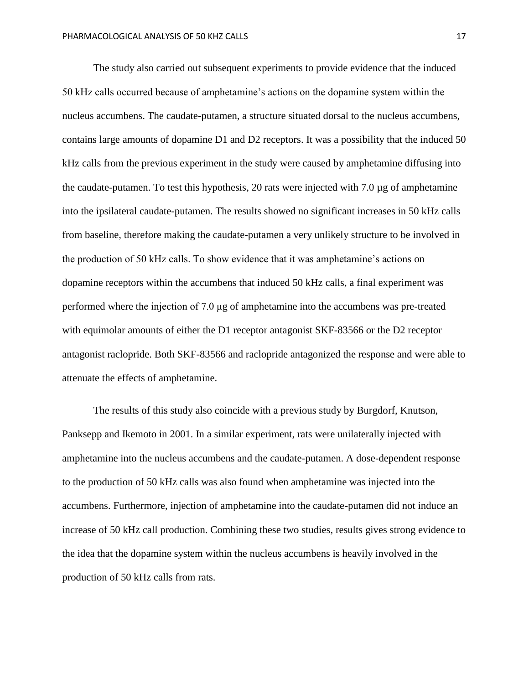The study also carried out subsequent experiments to provide evidence that the induced 50 kHz calls occurred because of amphetamine's actions on the dopamine system within the nucleus accumbens. The caudate-putamen, a structure situated dorsal to the nucleus accumbens, contains large amounts of dopamine D1 and D2 receptors. It was a possibility that the induced 50 kHz calls from the previous experiment in the study were caused by amphetamine diffusing into the caudate-putamen. To test this hypothesis, 20 rats were injected with 7.0 µg of amphetamine into the ipsilateral caudate-putamen. The results showed no significant increases in 50 kHz calls from baseline, therefore making the caudate-putamen a very unlikely structure to be involved in the production of 50 kHz calls. To show evidence that it was amphetamine's actions on dopamine receptors within the accumbens that induced 50 kHz calls, a final experiment was performed where the injection of 7.0 μg of amphetamine into the accumbens was pre-treated with equimolar amounts of either the D1 receptor antagonist SKF-83566 or the D2 receptor antagonist raclopride. Both SKF-83566 and raclopride antagonized the response and were able to attenuate the effects of amphetamine.

The results of this study also coincide with a previous study by Burgdorf, Knutson, Panksepp and Ikemoto in 2001. In a similar experiment, rats were unilaterally injected with amphetamine into the nucleus accumbens and the caudate-putamen. A dose-dependent response to the production of 50 kHz calls was also found when amphetamine was injected into the accumbens. Furthermore, injection of amphetamine into the caudate-putamen did not induce an increase of 50 kHz call production. Combining these two studies, results gives strong evidence to the idea that the dopamine system within the nucleus accumbens is heavily involved in the production of 50 kHz calls from rats.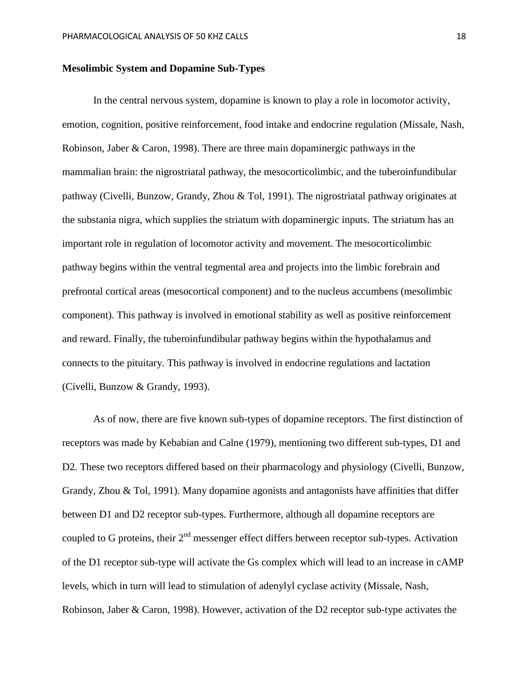#### **Mesolimbic System and Dopamine Sub-Types**

In the central nervous system, dopamine is known to play a role in locomotor activity, emotion, cognition, positive reinforcement, food intake and endocrine regulation (Missale, Nash, Robinson, Jaber & Caron, 1998). There are three main dopaminergic pathways in the mammalian brain: the nigrostriatal pathway, the mesocorticolimbic, and the tuberoinfundibular pathway (Civelli, Bunzow, Grandy, Zhou & Tol, 1991). The nigrostriatal pathway originates at the substania nigra, which supplies the striatum with dopaminergic inputs. The striatum has an important role in regulation of locomotor activity and movement. The mesocorticolimbic pathway begins within the ventral tegmental area and projects into the limbic forebrain and prefrontal cortical areas (mesocortical component) and to the nucleus accumbens (mesolimbic component). This pathway is involved in emotional stability as well as positive reinforcement and reward. Finally, the tuberoinfundibular pathway begins within the hypothalamus and connects to the pituitary. This pathway is involved in endocrine regulations and lactation (Civelli, Bunzow & Grandy, 1993).

As of now, there are five known sub-types of dopamine receptors. The first distinction of receptors was made by Kebabian and Calne (1979), mentioning two different sub-types, D1 and D2. These two receptors differed based on their pharmacology and physiology (Civelli, Bunzow, Grandy, Zhou & Tol, 1991). Many dopamine agonists and antagonists have affinities that differ between D1 and D2 receptor sub-types. Furthermore, although all dopamine receptors are coupled to G proteins, their  $2<sup>nd</sup>$  messenger effect differs between receptor sub-types. Activation of the D1 receptor sub-type will activate the Gs complex which will lead to an increase in cAMP levels, which in turn will lead to stimulation of adenylyl cyclase activity (Missale, Nash, Robinson, Jaber & Caron, 1998). However, activation of the D2 receptor sub-type activates the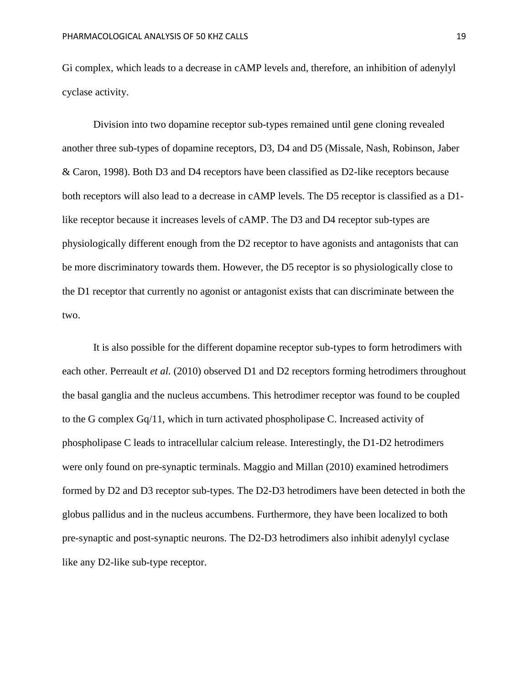Gi complex, which leads to a decrease in cAMP levels and, therefore, an inhibition of adenylyl cyclase activity.

Division into two dopamine receptor sub-types remained until gene cloning revealed another three sub-types of dopamine receptors, D3, D4 and D5 (Missale, Nash, Robinson, Jaber & Caron, 1998). Both D3 and D4 receptors have been classified as D2-like receptors because both receptors will also lead to a decrease in cAMP levels. The D5 receptor is classified as a D1 like receptor because it increases levels of cAMP. The D3 and D4 receptor sub-types are physiologically different enough from the D2 receptor to have agonists and antagonists that can be more discriminatory towards them. However, the D5 receptor is so physiologically close to the D1 receptor that currently no agonist or antagonist exists that can discriminate between the two.

It is also possible for the different dopamine receptor sub-types to form hetrodimers with each other. Perreault *et al.* (2010) observed D1 and D2 receptors forming hetrodimers throughout the basal ganglia and the nucleus accumbens. This hetrodimer receptor was found to be coupled to the G complex Gq/11, which in turn activated phospholipase C. Increased activity of phospholipase C leads to intracellular calcium release. Interestingly, the D1-D2 hetrodimers were only found on pre-synaptic terminals. Maggio and Millan (2010) examined hetrodimers formed by D2 and D3 receptor sub-types. The D2-D3 hetrodimers have been detected in both the globus pallidus and in the nucleus accumbens. Furthermore, they have been localized to both pre-synaptic and post-synaptic neurons. The D2-D3 hetrodimers also inhibit adenylyl cyclase like any D2-like sub-type receptor.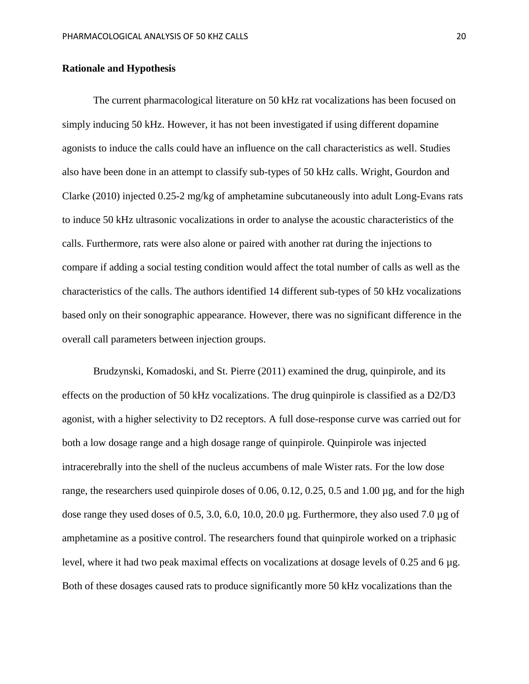#### **Rationale and Hypothesis**

The current pharmacological literature on 50 kHz rat vocalizations has been focused on simply inducing 50 kHz. However, it has not been investigated if using different dopamine agonists to induce the calls could have an influence on the call characteristics as well. Studies also have been done in an attempt to classify sub-types of 50 kHz calls. Wright, Gourdon and Clarke (2010) injected 0.25-2 mg/kg of amphetamine subcutaneously into adult Long-Evans rats to induce 50 kHz ultrasonic vocalizations in order to analyse the acoustic characteristics of the calls. Furthermore, rats were also alone or paired with another rat during the injections to compare if adding a social testing condition would affect the total number of calls as well as the characteristics of the calls. The authors identified 14 different sub-types of 50 kHz vocalizations based only on their sonographic appearance. However, there was no significant difference in the overall call parameters between injection groups.

Brudzynski, Komadoski, and St. Pierre (2011) examined the drug, quinpirole, and its effects on the production of 50 kHz vocalizations. The drug quinpirole is classified as a D2/D3 agonist, with a higher selectivity to D2 receptors. A full dose-response curve was carried out for both a low dosage range and a high dosage range of quinpirole. Quinpirole was injected intracerebrally into the shell of the nucleus accumbens of male Wister rats. For the low dose range, the researchers used quinpirole doses of 0.06, 0.12, 0.25, 0.5 and 1.00 µg, and for the high dose range they used doses of 0.5, 3.0, 6.0, 10.0, 20.0 µg. Furthermore, they also used 7.0 µg of amphetamine as a positive control. The researchers found that quinpirole worked on a triphasic level, where it had two peak maximal effects on vocalizations at dosage levels of 0.25 and 6 µg. Both of these dosages caused rats to produce significantly more 50 kHz vocalizations than the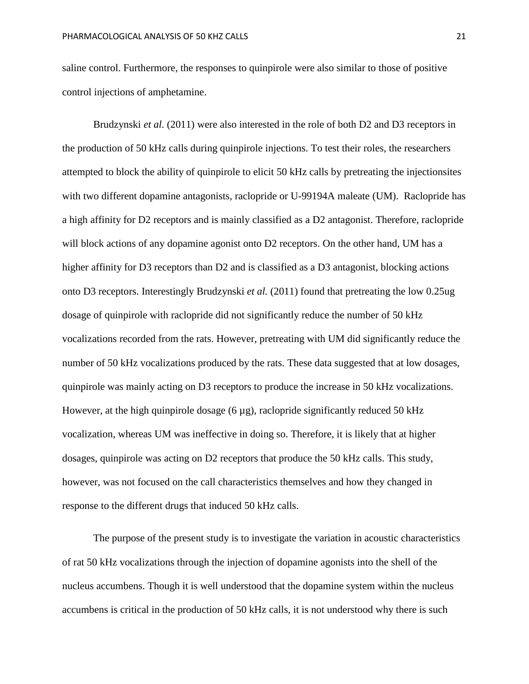saline control. Furthermore, the responses to quinpirole were also similar to those of positive control injections of amphetamine.

Brudzynski *et al.* (2011) were also interested in the role of both D2 and D3 receptors in the production of 50 kHz calls during quinpirole injections. To test their roles, the researchers attempted to block the ability of quinpirole to elicit 50 kHz calls by pretreating the injectionsites with two different dopamine antagonists, raclopride or U-99194A maleate (UM). Raclopride has a high affinity for D2 receptors and is mainly classified as a D2 antagonist. Therefore, raclopride will block actions of any dopamine agonist onto D2 receptors. On the other hand, UM has a higher affinity for D3 receptors than D2 and is classified as a D3 antagonist, blocking actions onto D3 receptors. Interestingly Brudzynski *et al.* (2011) found that pretreating the low 0.25ug dosage of quinpirole with raclopride did not significantly reduce the number of 50 kHz vocalizations recorded from the rats. However, pretreating with UM did significantly reduce the number of 50 kHz vocalizations produced by the rats. These data suggested that at low dosages, quinpirole was mainly acting on D3 receptors to produce the increase in 50 kHz vocalizations. However, at the high quinpirole dosage  $(6 \mu g)$ , raclopride significantly reduced 50 kHz vocalization, whereas UM was ineffective in doing so. Therefore, it is likely that at higher dosages, quinpirole was acting on D2 receptors that produce the 50 kHz calls. This study, however, was not focused on the call characteristics themselves and how they changed in response to the different drugs that induced 50 kHz calls.

The purpose of the present study is to investigate the variation in acoustic characteristics of rat 50 kHz vocalizations through the injection of dopamine agonists into the shell of the nucleus accumbens. Though it is well understood that the dopamine system within the nucleus accumbens is critical in the production of 50 kHz calls, it is not understood why there is such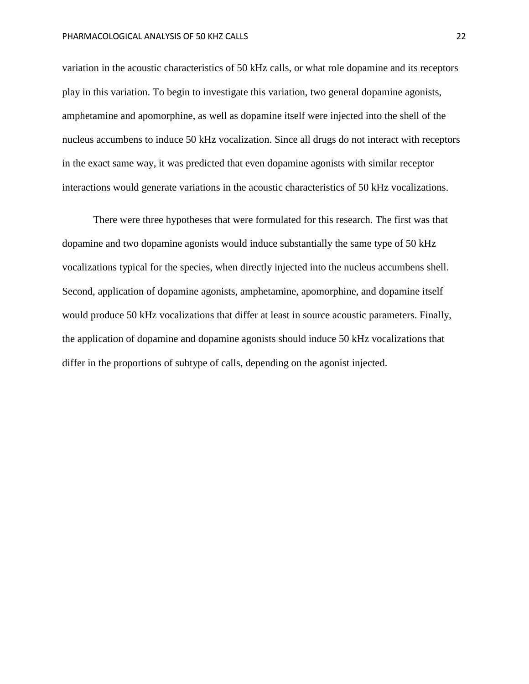variation in the acoustic characteristics of 50 kHz calls, or what role dopamine and its receptors play in this variation. To begin to investigate this variation, two general dopamine agonists, amphetamine and apomorphine, as well as dopamine itself were injected into the shell of the nucleus accumbens to induce 50 kHz vocalization. Since all drugs do not interact with receptors in the exact same way, it was predicted that even dopamine agonists with similar receptor interactions would generate variations in the acoustic characteristics of 50 kHz vocalizations.

There were three hypotheses that were formulated for this research. The first was that dopamine and two dopamine agonists would induce substantially the same type of 50 kHz vocalizations typical for the species, when directly injected into the nucleus accumbens shell. Second, application of dopamine agonists, amphetamine, apomorphine, and dopamine itself would produce 50 kHz vocalizations that differ at least in source acoustic parameters. Finally, the application of dopamine and dopamine agonists should induce 50 kHz vocalizations that differ in the proportions of subtype of calls, depending on the agonist injected.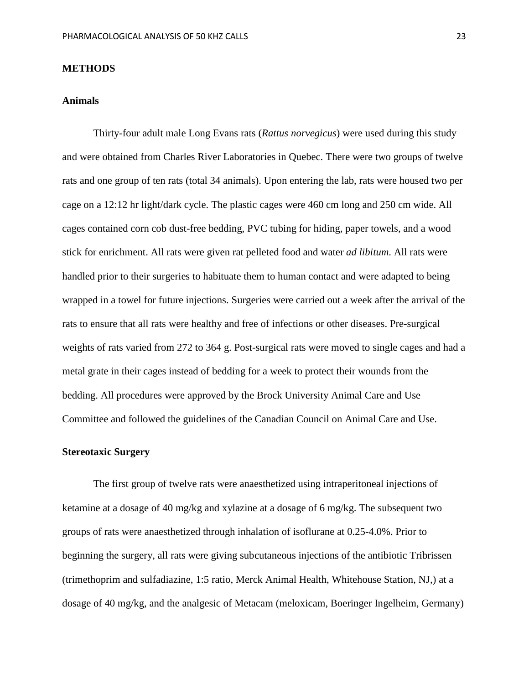#### **METHODS**

#### **Animals**

Thirty-four adult male Long Evans rats (*Rattus norvegicus*) were used during this study and were obtained from Charles River Laboratories in Quebec. There were two groups of twelve rats and one group of ten rats (total 34 animals). Upon entering the lab, rats were housed two per cage on a 12:12 hr light/dark cycle. The plastic cages were 460 cm long and 250 cm wide. All cages contained corn cob dust-free bedding, PVC tubing for hiding, paper towels, and a wood stick for enrichment. All rats were given rat pelleted food and water *ad libitum*. All rats were handled prior to their surgeries to habituate them to human contact and were adapted to being wrapped in a towel for future injections. Surgeries were carried out a week after the arrival of the rats to ensure that all rats were healthy and free of infections or other diseases. Pre-surgical weights of rats varied from 272 to 364 g. Post-surgical rats were moved to single cages and had a metal grate in their cages instead of bedding for a week to protect their wounds from the bedding. All procedures were approved by the Brock University Animal Care and Use Committee and followed the guidelines of the Canadian Council on Animal Care and Use.

#### **Stereotaxic Surgery**

The first group of twelve rats were anaesthetized using intraperitoneal injections of ketamine at a dosage of 40 mg/kg and xylazine at a dosage of 6 mg/kg. The subsequent two groups of rats were anaesthetized through inhalation of isoflurane at 0.25-4.0%. Prior to beginning the surgery, all rats were giving subcutaneous injections of the antibiotic Tribrissen (trimethoprim and sulfadiazine, 1:5 ratio, Merck Animal Health, Whitehouse Station, NJ,) at a dosage of 40 mg/kg, and the analgesic of Metacam (meloxicam, Boeringer Ingelheim, Germany)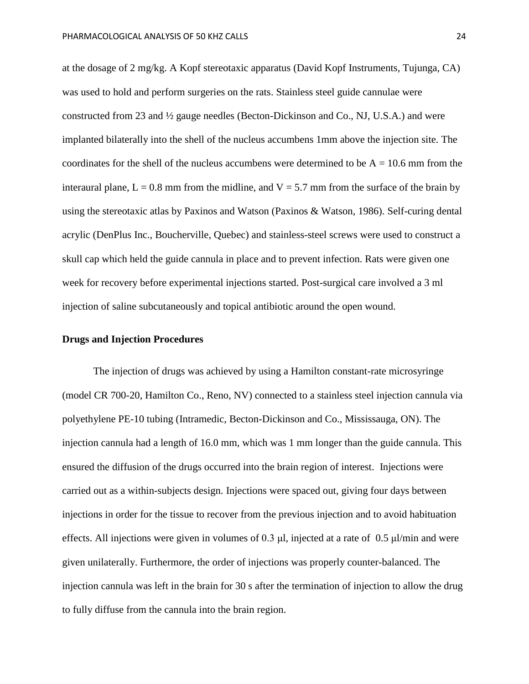at the dosage of 2 mg/kg. A Kopf stereotaxic apparatus (David Kopf Instruments, Tujunga, CA) was used to hold and perform surgeries on the rats. Stainless steel guide cannulae were constructed from 23 and ½ gauge needles (Becton-Dickinson and Co., NJ, U.S.A.) and were implanted bilaterally into the shell of the nucleus accumbens 1mm above the injection site. The coordinates for the shell of the nucleus accumbens were determined to be  $A = 10.6$  mm from the interaural plane,  $L = 0.8$  mm from the midline, and  $V = 5.7$  mm from the surface of the brain by using the stereotaxic atlas by Paxinos and Watson (Paxinos & Watson, 1986). Self-curing dental acrylic (DenPlus Inc., Boucherville, Quebec) and stainless-steel screws were used to construct a skull cap which held the guide cannula in place and to prevent infection. Rats were given one week for recovery before experimental injections started. Post-surgical care involved a 3 ml injection of saline subcutaneously and topical antibiotic around the open wound.

#### **Drugs and Injection Procedures**

The injection of drugs was achieved by using a Hamilton constant-rate microsyringe (model CR 700-20, Hamilton Co., Reno, NV) connected to a stainless steel injection cannula via polyethylene PE-10 tubing (Intramedic, Becton-Dickinson and Co., Mississauga, ON). The injection cannula had a length of 16.0 mm, which was 1 mm longer than the guide cannula. This ensured the diffusion of the drugs occurred into the brain region of interest. Injections were carried out as a within-subjects design. Injections were spaced out, giving four days between injections in order for the tissue to recover from the previous injection and to avoid habituation effects. All injections were given in volumes of 0.3 μl, injected at a rate of 0.5 μl/min and were given unilaterally. Furthermore, the order of injections was properly counter-balanced. The injection cannula was left in the brain for 30 s after the termination of injection to allow the drug to fully diffuse from the cannula into the brain region.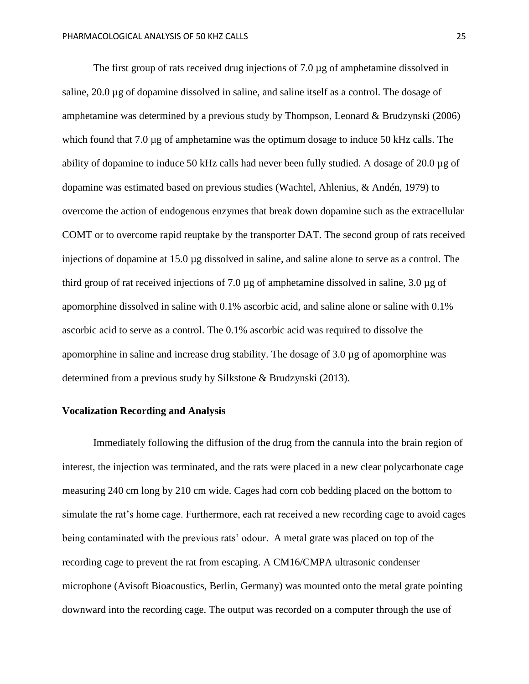The first group of rats received drug injections of 7.0 µg of amphetamine dissolved in saline, 20.0 µg of dopamine dissolved in saline, and saline itself as a control. The dosage of amphetamine was determined by a previous study by Thompson, Leonard & Brudzynski (2006) which found that 7.0 µg of amphetamine was the optimum dosage to induce 50 kHz calls. The ability of dopamine to induce 50 kHz calls had never been fully studied. A dosage of 20.0 µg of dopamine was estimated based on previous studies (Wachtel, Ahlenius, & Andén, 1979) to overcome the action of endogenous enzymes that break down dopamine such as the extracellular COMT or to overcome rapid reuptake by the transporter DAT. The second group of rats received injections of dopamine at 15.0 µg dissolved in saline, and saline alone to serve as a control. The third group of rat received injections of 7.0 µg of amphetamine dissolved in saline, 3.0 µg of apomorphine dissolved in saline with 0.1% ascorbic acid, and saline alone or saline with 0.1% ascorbic acid to serve as a control. The 0.1% ascorbic acid was required to dissolve the apomorphine in saline and increase drug stability. The dosage of 3.0 µg of apomorphine was determined from a previous study by Silkstone & Brudzynski (2013).

#### **Vocalization Recording and Analysis**

Immediately following the diffusion of the drug from the cannula into the brain region of interest, the injection was terminated, and the rats were placed in a new clear polycarbonate cage measuring 240 cm long by 210 cm wide. Cages had corn cob bedding placed on the bottom to simulate the rat's home cage. Furthermore, each rat received a new recording cage to avoid cages being contaminated with the previous rats' odour. A metal grate was placed on top of the recording cage to prevent the rat from escaping. A CM16/CMPA ultrasonic condenser microphone (Avisoft Bioacoustics, Berlin, Germany) was mounted onto the metal grate pointing downward into the recording cage. The output was recorded on a computer through the use of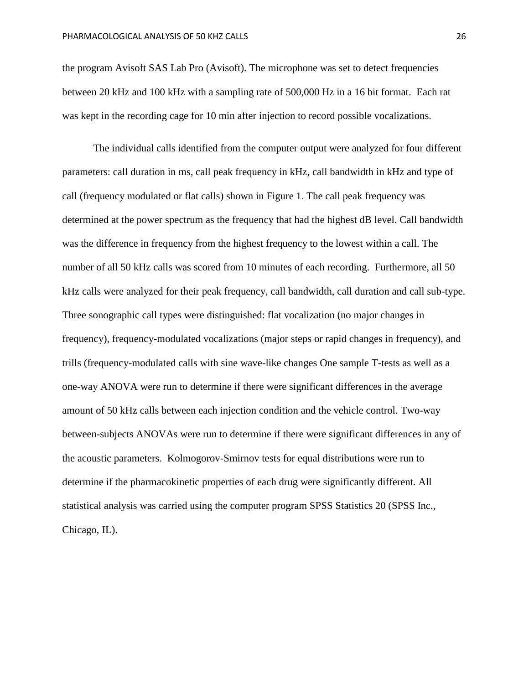the program Avisoft SAS Lab Pro (Avisoft). The microphone was set to detect frequencies between 20 kHz and 100 kHz with a sampling rate of 500,000 Hz in a 16 bit format. Each rat was kept in the recording cage for 10 min after injection to record possible vocalizations.

The individual calls identified from the computer output were analyzed for four different parameters: call duration in ms, call peak frequency in kHz, call bandwidth in kHz and type of call (frequency modulated or flat calls) shown in Figure 1. The call peak frequency was determined at the power spectrum as the frequency that had the highest dB level. Call bandwidth was the difference in frequency from the highest frequency to the lowest within a call. The number of all 50 kHz calls was scored from 10 minutes of each recording. Furthermore, all 50 kHz calls were analyzed for their peak frequency, call bandwidth, call duration and call sub-type. Three sonographic call types were distinguished: flat vocalization (no major changes in frequency), frequency-modulated vocalizations (major steps or rapid changes in frequency), and trills (frequency-modulated calls with sine wave-like changes One sample T-tests as well as a one-way ANOVA were run to determine if there were significant differences in the average amount of 50 kHz calls between each injection condition and the vehicle control. Two-way between-subjects ANOVAs were run to determine if there were significant differences in any of the acoustic parameters. Kolmogorov-Smirnov tests for equal distributions were run to determine if the pharmacokinetic properties of each drug were significantly different. All statistical analysis was carried using the computer program SPSS Statistics 20 (SPSS Inc., Chicago, IL).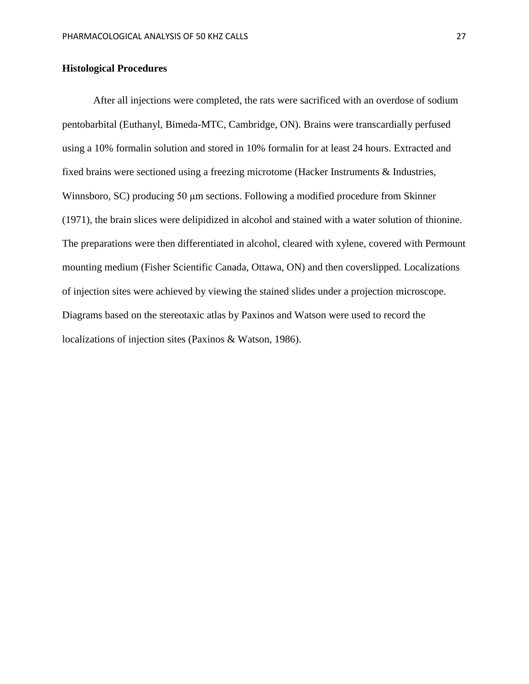## **Histological Procedures**

After all injections were completed, the rats were sacrificed with an overdose of sodium pentobarbital (Euthanyl, Bimeda-MTC, Cambridge, ON). Brains were transcardially perfused using a 10% formalin solution and stored in 10% formalin for at least 24 hours. Extracted and fixed brains were sectioned using a freezing microtome (Hacker Instruments & Industries, Winnsboro, SC) producing 50 μm sections. Following a modified procedure from Skinner (1971), the brain slices were delipidized in alcohol and stained with a water solution of thionine. The preparations were then differentiated in alcohol, cleared with xylene, covered with Permount mounting medium (Fisher Scientific Canada, Ottawa, ON) and then coverslipped. Localizations of injection sites were achieved by viewing the stained slides under a projection microscope. Diagrams based on the stereotaxic atlas by Paxinos and Watson were used to record the localizations of injection sites (Paxinos & Watson, 1986).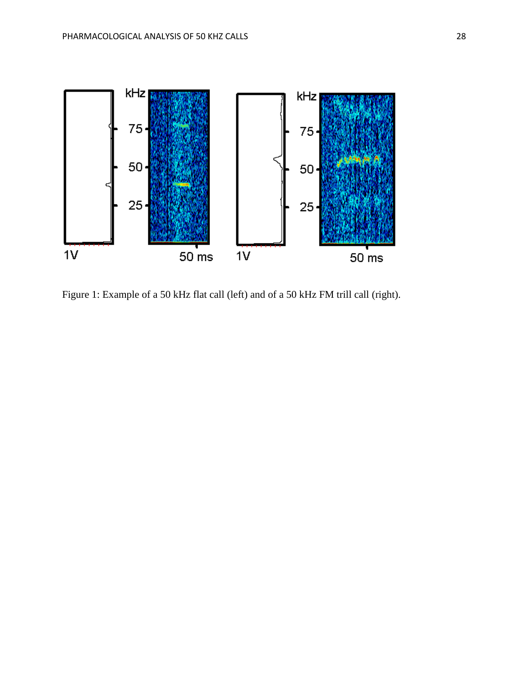

Figure 1: Example of a 50 kHz flat call (left) and of a 50 kHz FM trill call (right).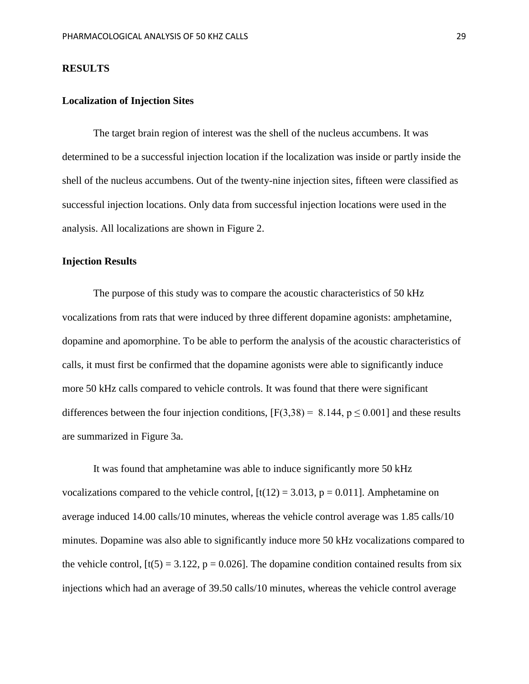#### **RESULTS**

#### **Localization of Injection Sites**

The target brain region of interest was the shell of the nucleus accumbens. It was determined to be a successful injection location if the localization was inside or partly inside the shell of the nucleus accumbens. Out of the twenty-nine injection sites, fifteen were classified as successful injection locations. Only data from successful injection locations were used in the analysis. All localizations are shown in Figure 2.

#### **Injection Results**

The purpose of this study was to compare the acoustic characteristics of 50 kHz vocalizations from rats that were induced by three different dopamine agonists: amphetamine, dopamine and apomorphine. To be able to perform the analysis of the acoustic characteristics of calls, it must first be confirmed that the dopamine agonists were able to significantly induce more 50 kHz calls compared to vehicle controls. It was found that there were significant differences between the four injection conditions,  $[F(3,38) = 8.144, p \le 0.001]$  and these results are summarized in Figure 3a.

It was found that amphetamine was able to induce significantly more 50 kHz vocalizations compared to the vehicle control,  $[t(12) = 3.013, p = 0.011]$ . Amphetamine on average induced 14.00 calls/10 minutes, whereas the vehicle control average was 1.85 calls/10 minutes. Dopamine was also able to significantly induce more 50 kHz vocalizations compared to the vehicle control,  $[t(5) = 3.122, p = 0.026]$ . The dopamine condition contained results from six injections which had an average of 39.50 calls/10 minutes, whereas the vehicle control average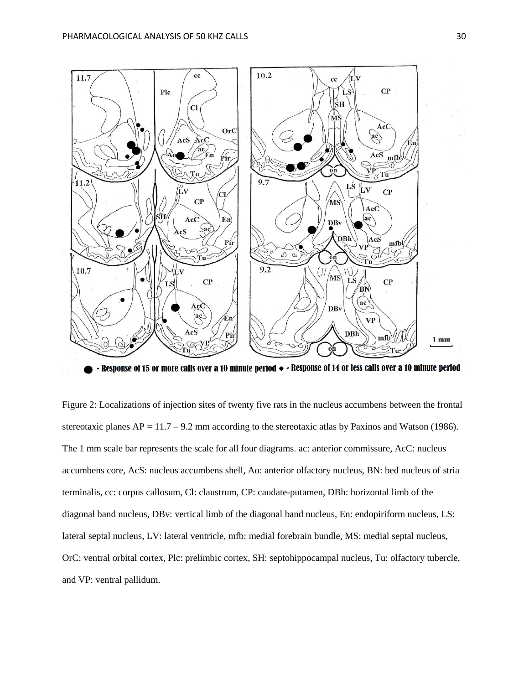

- Response of 15 or more calls over a 10 minute period  $\bullet$  - Response of 14 or less calls over a 10 minute period

Figure 2: Localizations of injection sites of twenty five rats in the nucleus accumbens between the frontal stereotaxic planes AP = 11.7 – 9.2 mm according to the stereotaxic atlas by Paxinos and Watson (1986). The 1 mm scale bar represents the scale for all four diagrams. ac: anterior commissure, AcC: nucleus accumbens core, AcS: nucleus accumbens shell, Ao: anterior olfactory nucleus, BN: bed nucleus of stria terminalis, cc: corpus callosum, Cl: claustrum, CP: caudate-putamen, DBh: horizontal limb of the diagonal band nucleus, DBv: vertical limb of the diagonal band nucleus, En: endopiriform nucleus, LS: lateral septal nucleus, LV: lateral ventricle, mfb: medial forebrain bundle, MS: medial septal nucleus, OrC: ventral orbital cortex, Plc: prelimbic cortex, SH: septohippocampal nucleus, Tu: olfactory tubercle, and VP: ventral pallidum.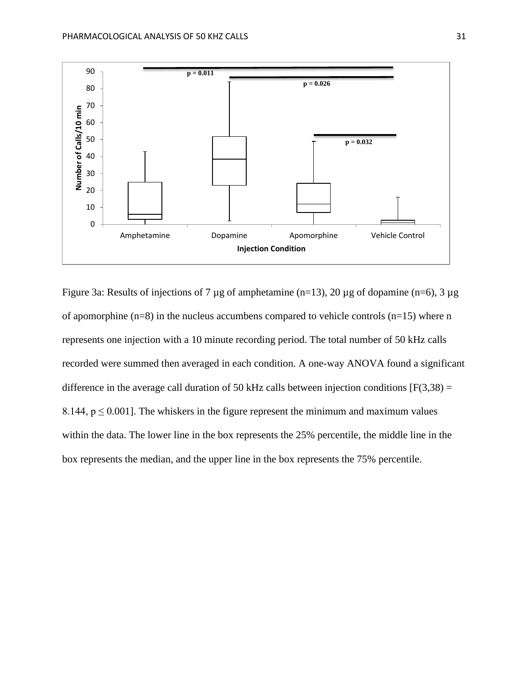

Figure 3a: Results of injections of 7  $\mu$ g of amphetamine (n=13), 20  $\mu$ g of dopamine (n=6), 3  $\mu$ g of apomorphine  $(n=8)$  in the nucleus accumbens compared to vehicle controls  $(n=15)$  where n represents one injection with a 10 minute recording period. The total number of 50 kHz calls recorded were summed then averaged in each condition. A one-way ANOVA found a significant difference in the average call duration of 50 kHz calls between injection conditions  $[F(3,38) =$ 8.144,  $p \le 0.001$ . The whiskers in the figure represent the minimum and maximum values within the data. The lower line in the box represents the 25% percentile, the middle line in the box represents the median, and the upper line in the box represents the 75% percentile.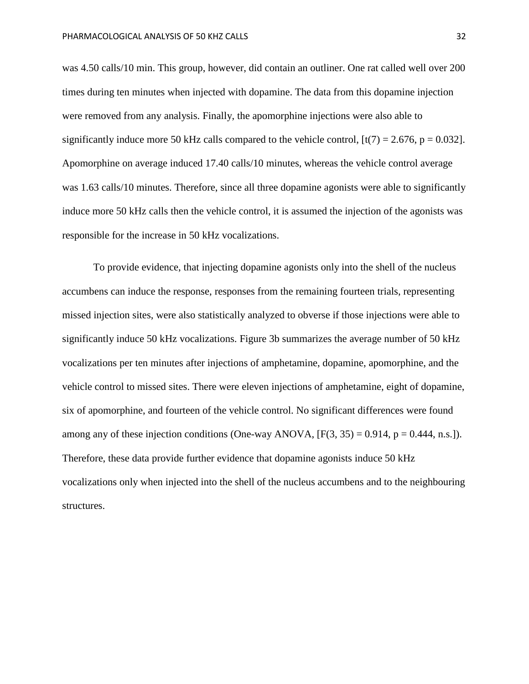was 4.50 calls/10 min. This group, however, did contain an outliner. One rat called well over 200 times during ten minutes when injected with dopamine. The data from this dopamine injection were removed from any analysis. Finally, the apomorphine injections were also able to significantly induce more 50 kHz calls compared to the vehicle control,  $[t(7) = 2.676, p = 0.032]$ . Apomorphine on average induced 17.40 calls/10 minutes, whereas the vehicle control average was 1.63 calls/10 minutes. Therefore, since all three dopamine agonists were able to significantly induce more 50 kHz calls then the vehicle control, it is assumed the injection of the agonists was responsible for the increase in 50 kHz vocalizations.

To provide evidence, that injecting dopamine agonists only into the shell of the nucleus accumbens can induce the response, responses from the remaining fourteen trials, representing missed injection sites, were also statistically analyzed to obverse if those injections were able to significantly induce 50 kHz vocalizations. Figure 3b summarizes the average number of 50 kHz vocalizations per ten minutes after injections of amphetamine, dopamine, apomorphine, and the vehicle control to missed sites. There were eleven injections of amphetamine, eight of dopamine, six of apomorphine, and fourteen of the vehicle control. No significant differences were found among any of these injection conditions (One-way ANOVA,  $[F(3, 35) = 0.914, p = 0.444, n.s.]$ ). Therefore, these data provide further evidence that dopamine agonists induce 50 kHz vocalizations only when injected into the shell of the nucleus accumbens and to the neighbouring structures.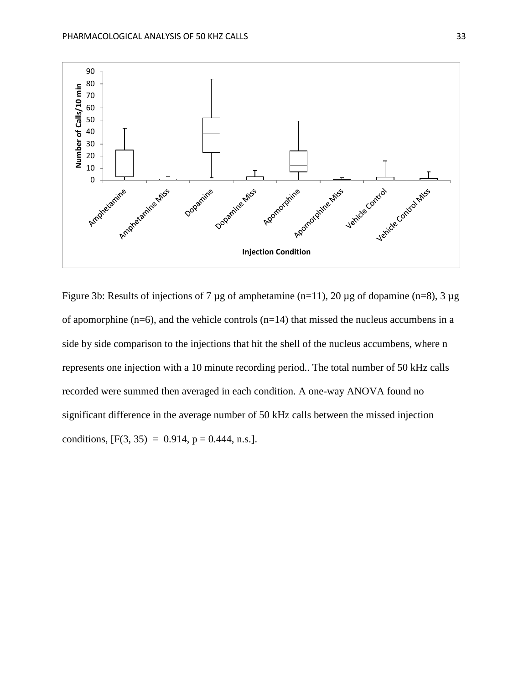

Figure 3b: Results of injections of 7 µg of amphetamine (n=11), 20 µg of dopamine (n=8), 3 µg of apomorphine ( $n=6$ ), and the vehicle controls ( $n=14$ ) that missed the nucleus accumbens in a side by side comparison to the injections that hit the shell of the nucleus accumbens, where n represents one injection with a 10 minute recording period.. The total number of 50 kHz calls recorded were summed then averaged in each condition. A one-way ANOVA found no significant difference in the average number of 50 kHz calls between the missed injection conditions,  $[F(3, 35) = 0.914, p = 0.444, n.s.].$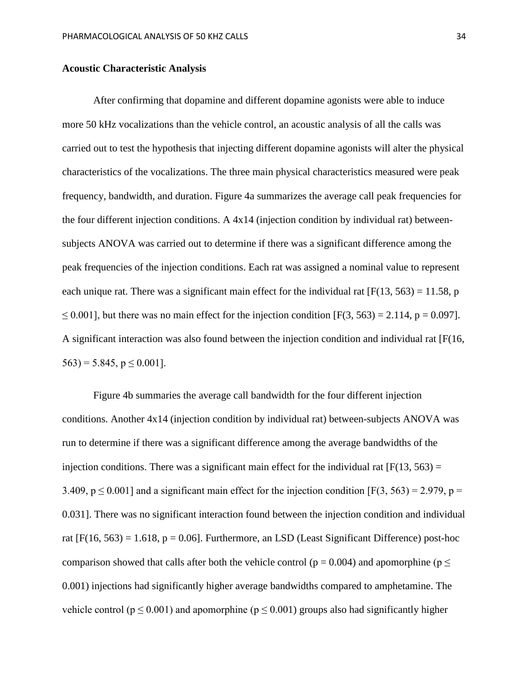#### **Acoustic Characteristic Analysis**

After confirming that dopamine and different dopamine agonists were able to induce more 50 kHz vocalizations than the vehicle control, an acoustic analysis of all the calls was carried out to test the hypothesis that injecting different dopamine agonists will alter the physical characteristics of the vocalizations. The three main physical characteristics measured were peak frequency, bandwidth, and duration. Figure 4a summarizes the average call peak frequencies for the four different injection conditions. A 4x14 (injection condition by individual rat) betweensubjects ANOVA was carried out to determine if there was a significant difference among the peak frequencies of the injection conditions. Each rat was assigned a nominal value to represent each unique rat. There was a significant main effect for the individual rat  $[F(13, 563) = 11.58$ , p  $\leq$  0.001], but there was no main effect for the injection condition [F(3, 563) = 2.114, p = 0.097]. A significant interaction was also found between the injection condition and individual rat [F(16,  $563$ ) = 5.845, p  $\leq$  0.001].

Figure 4b summaries the average call bandwidth for the four different injection conditions. Another 4x14 (injection condition by individual rat) between-subjects ANOVA was run to determine if there was a significant difference among the average bandwidths of the injection conditions. There was a significant main effect for the individual rat  $[F(13, 563) =$ 3.409,  $p \le 0.001$ ] and a significant main effect for the injection condition [F(3, 563) = 2.979, p = 0.031]. There was no significant interaction found between the injection condition and individual rat  $[F(16, 563) = 1.618, p = 0.06]$ . Furthermore, an LSD (Least Significant Difference) post-hoc comparison showed that calls after both the vehicle control ( $p = 0.004$ ) and apomorphine ( $p \le$ 0.001) injections had significantly higher average bandwidths compared to amphetamine. The vehicle control ( $p \le 0.001$ ) and apomorphine ( $p \le 0.001$ ) groups also had significantly higher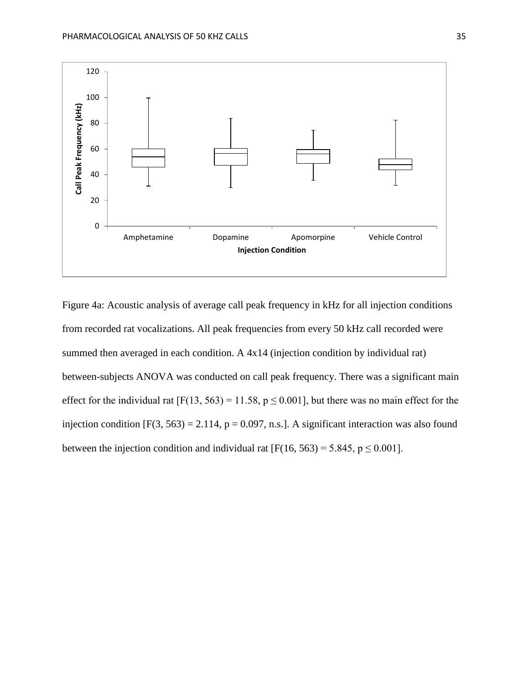

Figure 4a: Acoustic analysis of average call peak frequency in kHz for all injection conditions from recorded rat vocalizations. All peak frequencies from every 50 kHz call recorded were summed then averaged in each condition. A  $4x14$  (injection condition by individual rat) between-subjects ANOVA was conducted on call peak frequency. There was a significant main effect for the individual rat  $[F(13, 563) = 11.58, p \le 0.001]$ , but there was no main effect for the injection condition  $[F(3, 563) = 2.114, p = 0.097, n.s.]$ . A significant interaction was also found between the injection condition and individual rat  $[F(16, 563) = 5.845, p \le 0.001]$ .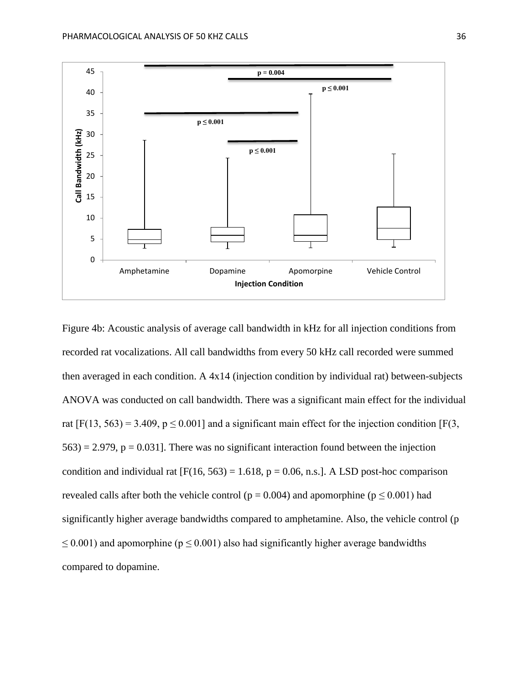

Figure 4b: Acoustic analysis of average call bandwidth in kHz for all injection conditions from recorded rat vocalizations. All call bandwidths from every 50 kHz call recorded were summed then averaged in each condition. A 4x14 (injection condition by individual rat) between-subjects ANOVA was conducted on call bandwidth. There was a significant main effect for the individual rat  $[F(13, 563) = 3.409$ ,  $p \le 0.001$  and a significant main effect for the injection condition  $[F(3, 563) = 3.409]$  $563$ ) = 2.979, p = 0.031]. There was no significant interaction found between the injection condition and individual rat  $[F(16, 563) = 1.618, p = 0.06, n.s.]$ . A LSD post-hoc comparison revealed calls after both the vehicle control ( $p = 0.004$ ) and apomorphine ( $p \le 0.001$ ) had significantly higher average bandwidths compared to amphetamine. Also, the vehicle control (p  $\leq$  0.001) and apomorphine ( $p \leq$  0.001) also had significantly higher average bandwidths compared to dopamine.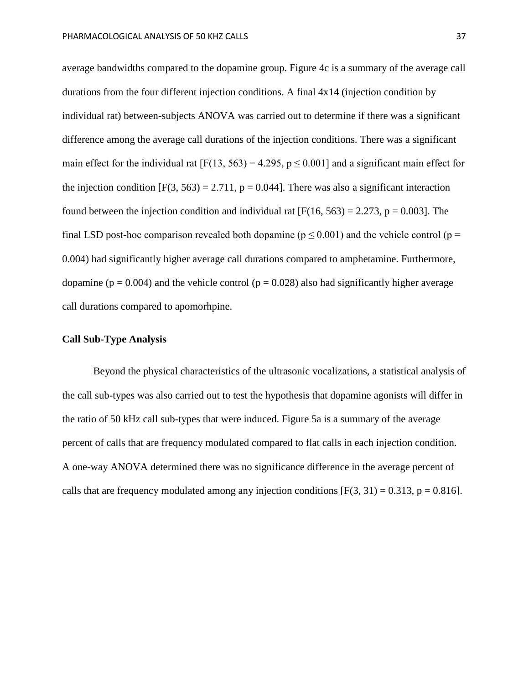average bandwidths compared to the dopamine group. Figure 4c is a summary of the average call durations from the four different injection conditions. A final 4x14 (injection condition by individual rat) between-subjects ANOVA was carried out to determine if there was a significant difference among the average call durations of the injection conditions. There was a significant main effect for the individual rat [F(13, 563) = 4.295,  $p \le 0.001$ ] and a significant main effect for the injection condition  $[F(3, 563) = 2.711$ ,  $p = 0.044$ . There was also a significant interaction found between the injection condition and individual rat  $[F(16, 563) = 2.273, p = 0.003]$ . The final LSD post-hoc comparison revealed both dopamine ( $p \le 0.001$ ) and the vehicle control ( $p =$ 0.004) had significantly higher average call durations compared to amphetamine. Furthermore, dopamine ( $p = 0.004$ ) and the vehicle control ( $p = 0.028$ ) also had significantly higher average call durations compared to apomorhpine.

## **Call Sub-Type Analysis**

Beyond the physical characteristics of the ultrasonic vocalizations, a statistical analysis of the call sub-types was also carried out to test the hypothesis that dopamine agonists will differ in the ratio of 50 kHz call sub-types that were induced. Figure 5a is a summary of the average percent of calls that are frequency modulated compared to flat calls in each injection condition. A one-way ANOVA determined there was no significance difference in the average percent of calls that are frequency modulated among any injection conditions  $[F(3, 31) = 0.313, p = 0.816]$ .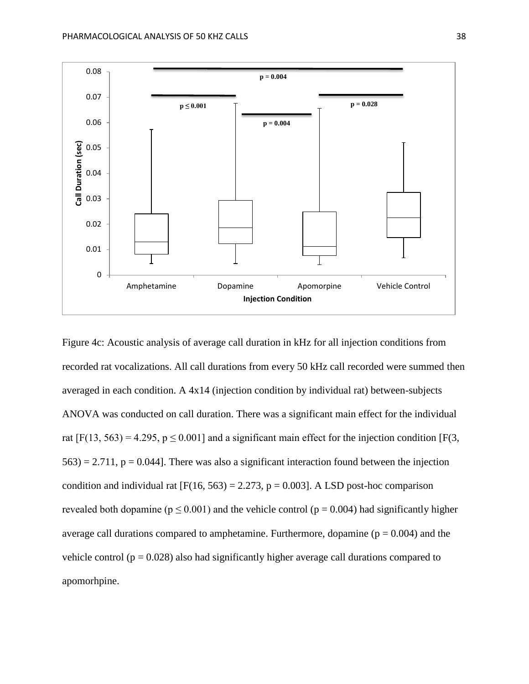

Figure 4c: Acoustic analysis of average call duration in kHz for all injection conditions from recorded rat vocalizations. All call durations from every 50 kHz call recorded were summed then averaged in each condition. A 4x14 (injection condition by individual rat) between-subjects ANOVA was conducted on call duration. There was a significant main effect for the individual rat  $[F(13, 563) = 4.295$ ,  $p \le 0.001$  and a significant main effect for the injection condition  $[F(3, 563) + 4.295]$  $563$ ) = 2.711, p = 0.044]. There was also a significant interaction found between the injection condition and individual rat  $[F(16, 563) = 2.273, p = 0.003]$ . A LSD post-hoc comparison revealed both dopamine ( $p \le 0.001$ ) and the vehicle control ( $p = 0.004$ ) had significantly higher average call durations compared to amphetamine. Furthermore, dopamine ( $p = 0.004$ ) and the vehicle control ( $p = 0.028$ ) also had significantly higher average call durations compared to apomorhpine.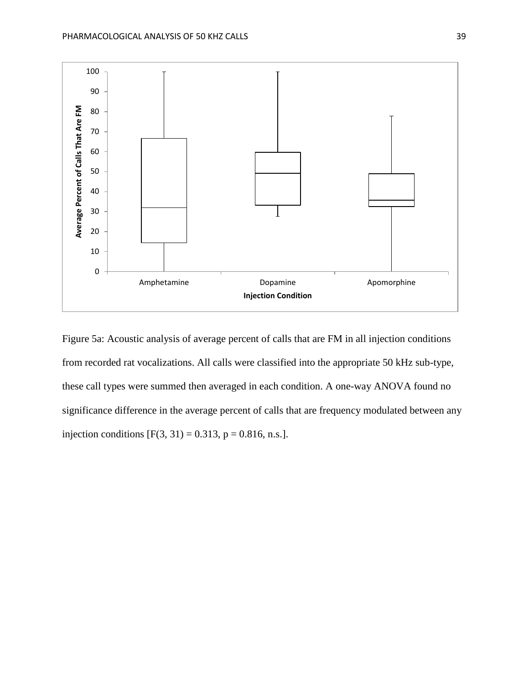

Figure 5a: Acoustic analysis of average percent of calls that are FM in all injection conditions from recorded rat vocalizations. All calls were classified into the appropriate 50 kHz sub-type, these call types were summed then averaged in each condition. A one-way ANOVA found no significance difference in the average percent of calls that are frequency modulated between any injection conditions  $[F(3, 31) = 0.313, p = 0.816, n.s.].$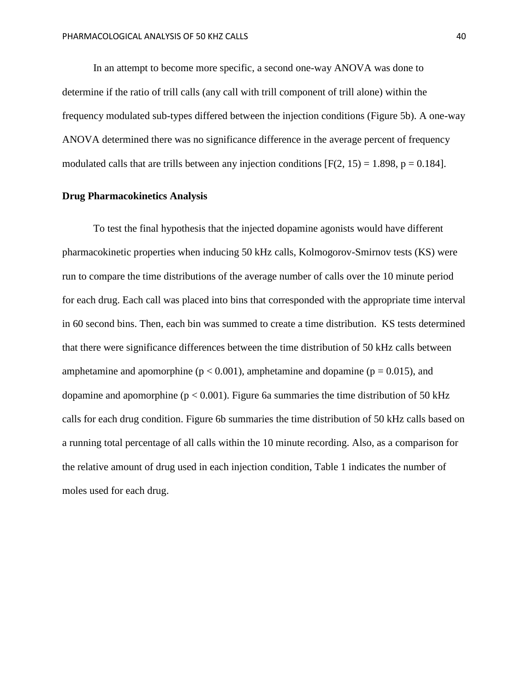In an attempt to become more specific, a second one-way ANOVA was done to determine if the ratio of trill calls (any call with trill component of trill alone) within the frequency modulated sub-types differed between the injection conditions (Figure 5b). A one-way ANOVA determined there was no significance difference in the average percent of frequency modulated calls that are trills between any injection conditions  $[F(2, 15) = 1.898, p = 0.184]$ .

#### **Drug Pharmacokinetics Analysis**

To test the final hypothesis that the injected dopamine agonists would have different pharmacokinetic properties when inducing 50 kHz calls, Kolmogorov-Smirnov tests (KS) were run to compare the time distributions of the average number of calls over the 10 minute period for each drug. Each call was placed into bins that corresponded with the appropriate time interval in 60 second bins. Then, each bin was summed to create a time distribution. KS tests determined that there were significance differences between the time distribution of 50 kHz calls between amphetamine and apomorphine ( $p < 0.001$ ), amphetamine and dopamine ( $p = 0.015$ ), and dopamine and apomorphine ( $p < 0.001$ ). Figure 6a summaries the time distribution of 50 kHz calls for each drug condition. Figure 6b summaries the time distribution of 50 kHz calls based on a running total percentage of all calls within the 10 minute recording. Also, as a comparison for the relative amount of drug used in each injection condition, Table 1 indicates the number of moles used for each drug.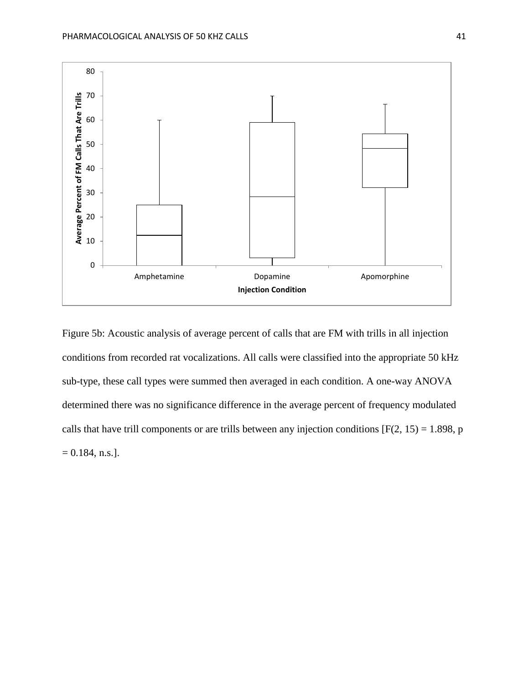

Figure 5b: Acoustic analysis of average percent of calls that are FM with trills in all injection conditions from recorded rat vocalizations. All calls were classified into the appropriate 50 kHz sub-type, these call types were summed then averaged in each condition. A one-way ANOVA determined there was no significance difference in the average percent of frequency modulated calls that have trill components or are trills between any injection conditions  $[F(2, 15) = 1.898, p]$  $= 0.184$ , n.s.].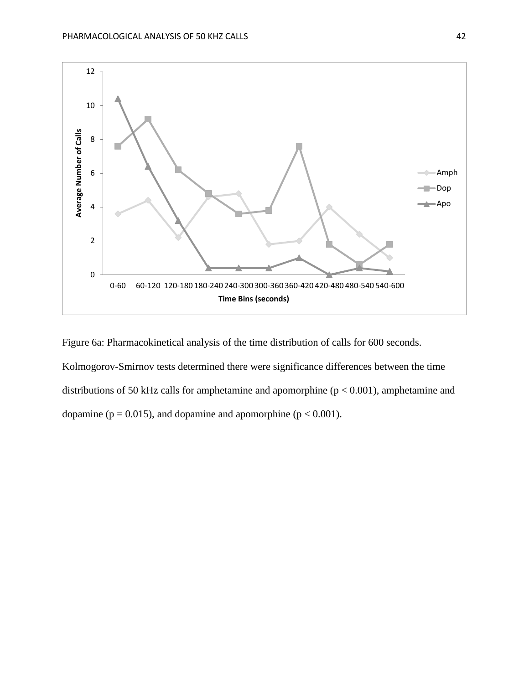

Figure 6a: Pharmacokinetical analysis of the time distribution of calls for 600 seconds. Kolmogorov-Smirnov tests determined there were significance differences between the time distributions of 50 kHz calls for amphetamine and apomorphine (p < 0.001), amphetamine and dopamine ( $p = 0.015$ ), and dopamine and apomorphine ( $p < 0.001$ ).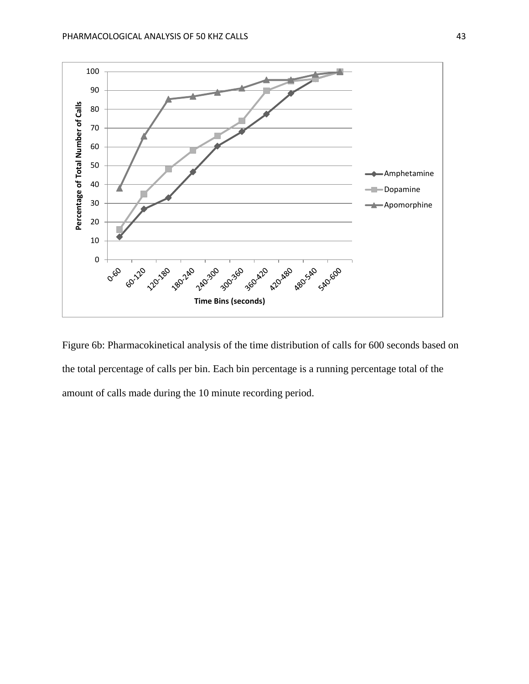

Figure 6b: Pharmacokinetical analysis of the time distribution of calls for 600 seconds based on the total percentage of calls per bin. Each bin percentage is a running percentage total of the amount of calls made during the 10 minute recording period.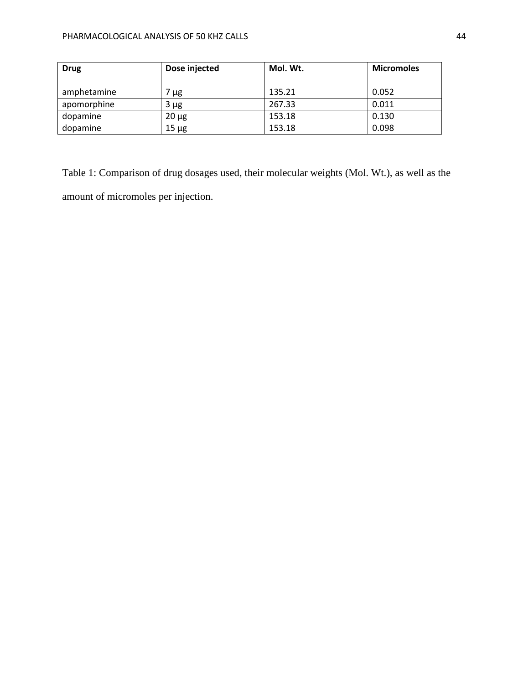| <b>Drug</b> | Dose injected | Mol. Wt. | <b>Micromoles</b> |
|-------------|---------------|----------|-------------------|
|             |               |          |                   |
| amphetamine | ' µg          | 135.21   | 0.052             |
| apomorphine | $3 \mu g$     | 267.33   | 0.011             |
| dopamine    | $20 \mu g$    | 153.18   | 0.130             |
| dopamine    | $15 \mu g$    | 153.18   | 0.098             |

Table 1: Comparison of drug dosages used, their molecular weights (Mol. Wt.), as well as the amount of micromoles per injection.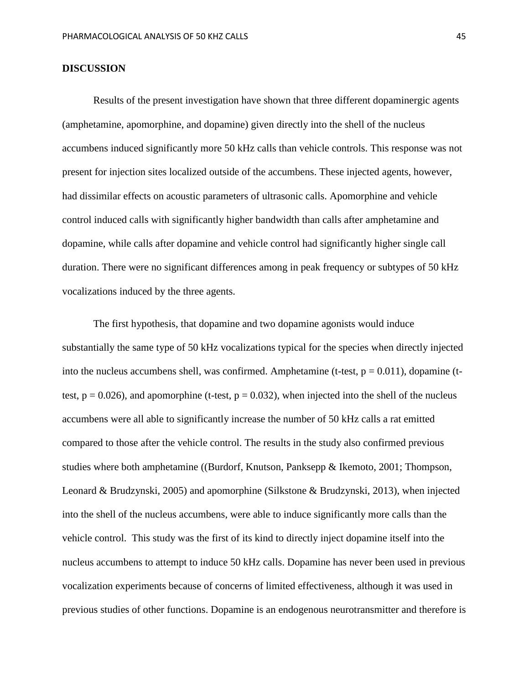#### **DISCUSSION**

Results of the present investigation have shown that three different dopaminergic agents (amphetamine, apomorphine, and dopamine) given directly into the shell of the nucleus accumbens induced significantly more 50 kHz calls than vehicle controls. This response was not present for injection sites localized outside of the accumbens. These injected agents, however, had dissimilar effects on acoustic parameters of ultrasonic calls. Apomorphine and vehicle control induced calls with significantly higher bandwidth than calls after amphetamine and dopamine, while calls after dopamine and vehicle control had significantly higher single call duration. There were no significant differences among in peak frequency or subtypes of 50 kHz vocalizations induced by the three agents.

The first hypothesis, that dopamine and two dopamine agonists would induce substantially the same type of 50 kHz vocalizations typical for the species when directly injected into the nucleus accumbens shell, was confirmed. Amphetamine (t-test,  $p = 0.011$ ), dopamine (ttest,  $p = 0.026$ ), and apomorphine (t-test,  $p = 0.032$ ), when injected into the shell of the nucleus accumbens were all able to significantly increase the number of 50 kHz calls a rat emitted compared to those after the vehicle control. The results in the study also confirmed previous studies where both amphetamine ((Burdorf, Knutson, Panksepp & Ikemoto, 2001; Thompson, Leonard & Brudzynski, 2005) and apomorphine (Silkstone & Brudzynski, 2013), when injected into the shell of the nucleus accumbens, were able to induce significantly more calls than the vehicle control. This study was the first of its kind to directly inject dopamine itself into the nucleus accumbens to attempt to induce 50 kHz calls. Dopamine has never been used in previous vocalization experiments because of concerns of limited effectiveness, although it was used in previous studies of other functions. Dopamine is an endogenous neurotransmitter and therefore is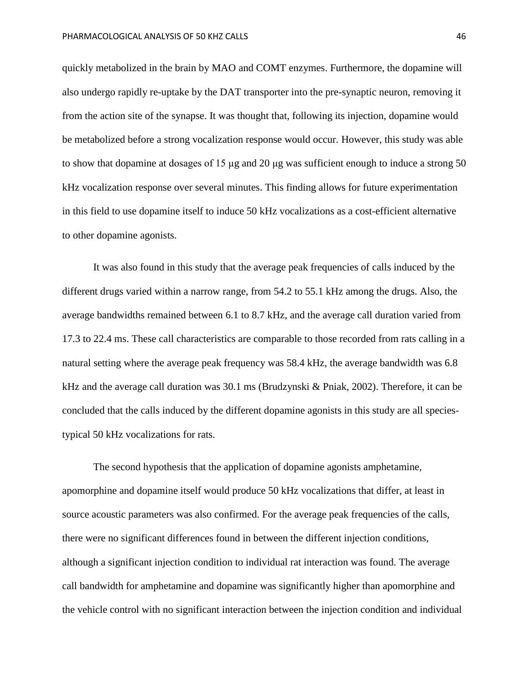quickly metabolized in the brain by MAO and COMT enzymes. Furthermore, the dopamine will also undergo rapidly re-uptake by the DAT transporter into the pre-synaptic neuron, removing it from the action site of the synapse. It was thought that, following its injection, dopamine would be metabolized before a strong vocalization response would occur. However, this study was able to show that dopamine at dosages of 15  $\mu$ g and 20  $\mu$ g was sufficient enough to induce a strong 50 kHz vocalization response over several minutes. This finding allows for future experimentation in this field to use dopamine itself to induce 50 kHz vocalizations as a cost-efficient alternative to other dopamine agonists.

It was also found in this study that the average peak frequencies of calls induced by the different drugs varied within a narrow range, from 54.2 to 55.1 kHz among the drugs. Also, the average bandwidths remained between 6.1 to 8.7 kHz, and the average call duration varied from 17.3 to 22.4 ms. These call characteristics are comparable to those recorded from rats calling in a natural setting where the average peak frequency was 58.4 kHz, the average bandwidth was 6.8 kHz and the average call duration was 30.1 ms (Brudzynski & Pniak, 2002). Therefore, it can be concluded that the calls induced by the different dopamine agonists in this study are all speciestypical 50 kHz vocalizations for rats.

The second hypothesis that the application of dopamine agonists amphetamine, apomorphine and dopamine itself would produce 50 kHz vocalizations that differ, at least in source acoustic parameters was also confirmed. For the average peak frequencies of the calls, there were no significant differences found in between the different injection conditions, although a significant injection condition to individual rat interaction was found. The average call bandwidth for amphetamine and dopamine was significantly higher than apomorphine and the vehicle control with no significant interaction between the injection condition and individual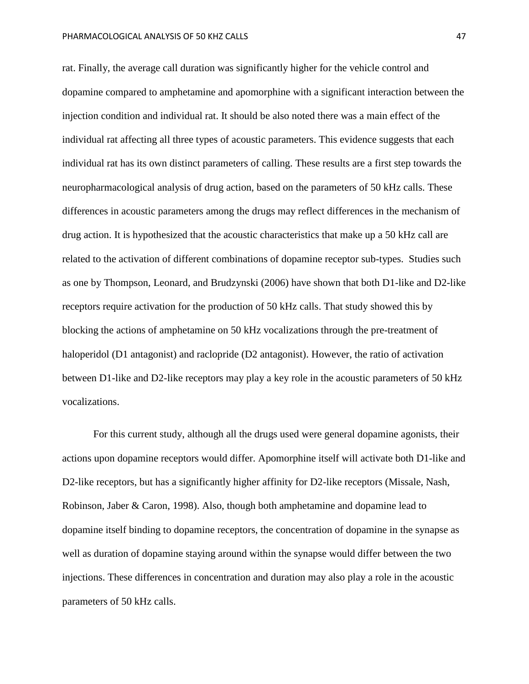rat. Finally, the average call duration was significantly higher for the vehicle control and dopamine compared to amphetamine and apomorphine with a significant interaction between the injection condition and individual rat. It should be also noted there was a main effect of the individual rat affecting all three types of acoustic parameters. This evidence suggests that each individual rat has its own distinct parameters of calling. These results are a first step towards the neuropharmacological analysis of drug action, based on the parameters of 50 kHz calls. These differences in acoustic parameters among the drugs may reflect differences in the mechanism of drug action. It is hypothesized that the acoustic characteristics that make up a 50 kHz call are related to the activation of different combinations of dopamine receptor sub-types. Studies such as one by Thompson, Leonard, and Brudzynski (2006) have shown that both D1-like and D2-like receptors require activation for the production of 50 kHz calls. That study showed this by blocking the actions of amphetamine on 50 kHz vocalizations through the pre-treatment of haloperidol (D1 antagonist) and raclopride (D2 antagonist). However, the ratio of activation between D1-like and D2-like receptors may play a key role in the acoustic parameters of 50 kHz vocalizations.

For this current study, although all the drugs used were general dopamine agonists, their actions upon dopamine receptors would differ. Apomorphine itself will activate both D1-like and D2-like receptors, but has a significantly higher affinity for D2-like receptors (Missale, Nash, Robinson, Jaber & Caron, 1998). Also, though both amphetamine and dopamine lead to dopamine itself binding to dopamine receptors, the concentration of dopamine in the synapse as well as duration of dopamine staying around within the synapse would differ between the two injections. These differences in concentration and duration may also play a role in the acoustic parameters of 50 kHz calls.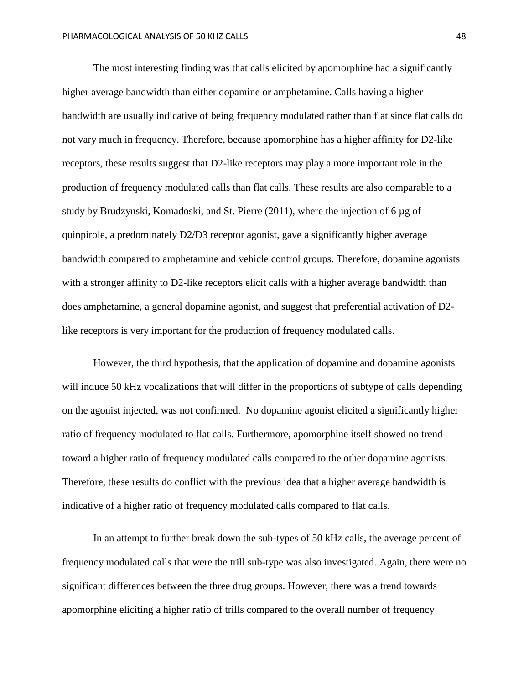The most interesting finding was that calls elicited by apomorphine had a significantly higher average bandwidth than either dopamine or amphetamine. Calls having a higher bandwidth are usually indicative of being frequency modulated rather than flat since flat calls do not vary much in frequency. Therefore, because apomorphine has a higher affinity for D2-like receptors, these results suggest that D2-like receptors may play a more important role in the production of frequency modulated calls than flat calls. These results are also comparable to a study by Brudzynski, Komadoski, and St. Pierre (2011), where the injection of 6 µg of quinpirole, a predominately D2/D3 receptor agonist, gave a significantly higher average bandwidth compared to amphetamine and vehicle control groups. Therefore, dopamine agonists with a stronger affinity to D2-like receptors elicit calls with a higher average bandwidth than does amphetamine, a general dopamine agonist, and suggest that preferential activation of D2 like receptors is very important for the production of frequency modulated calls.

However, the third hypothesis, that the application of dopamine and dopamine agonists will induce 50 kHz vocalizations that will differ in the proportions of subtype of calls depending on the agonist injected, was not confirmed. No dopamine agonist elicited a significantly higher ratio of frequency modulated to flat calls. Furthermore, apomorphine itself showed no trend toward a higher ratio of frequency modulated calls compared to the other dopamine agonists. Therefore, these results do conflict with the previous idea that a higher average bandwidth is indicative of a higher ratio of frequency modulated calls compared to flat calls.

In an attempt to further break down the sub-types of 50 kHz calls, the average percent of frequency modulated calls that were the trill sub-type was also investigated. Again, there were no significant differences between the three drug groups. However, there was a trend towards apomorphine eliciting a higher ratio of trills compared to the overall number of frequency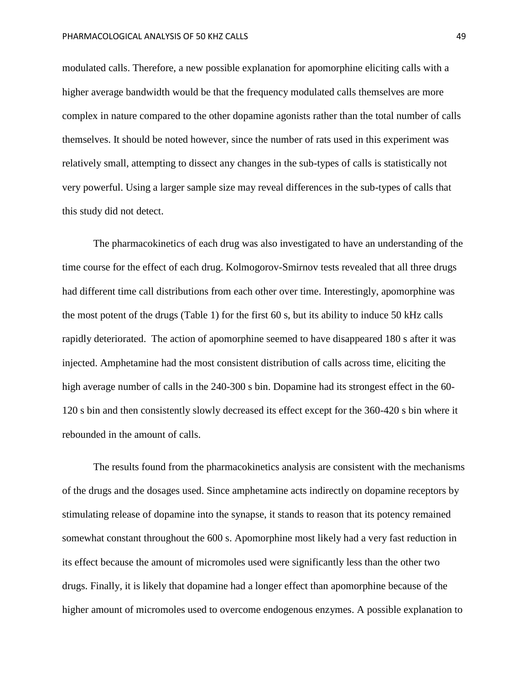modulated calls. Therefore, a new possible explanation for apomorphine eliciting calls with a higher average bandwidth would be that the frequency modulated calls themselves are more complex in nature compared to the other dopamine agonists rather than the total number of calls themselves. It should be noted however, since the number of rats used in this experiment was relatively small, attempting to dissect any changes in the sub-types of calls is statistically not very powerful. Using a larger sample size may reveal differences in the sub-types of calls that this study did not detect.

The pharmacokinetics of each drug was also investigated to have an understanding of the time course for the effect of each drug. Kolmogorov-Smirnov tests revealed that all three drugs had different time call distributions from each other over time. Interestingly, apomorphine was the most potent of the drugs (Table 1) for the first 60 s, but its ability to induce 50 kHz calls rapidly deteriorated. The action of apomorphine seemed to have disappeared 180 s after it was injected. Amphetamine had the most consistent distribution of calls across time, eliciting the high average number of calls in the 240-300 s bin. Dopamine had its strongest effect in the 60- 120 s bin and then consistently slowly decreased its effect except for the 360-420 s bin where it rebounded in the amount of calls.

The results found from the pharmacokinetics analysis are consistent with the mechanisms of the drugs and the dosages used. Since amphetamine acts indirectly on dopamine receptors by stimulating release of dopamine into the synapse, it stands to reason that its potency remained somewhat constant throughout the 600 s. Apomorphine most likely had a very fast reduction in its effect because the amount of micromoles used were significantly less than the other two drugs. Finally, it is likely that dopamine had a longer effect than apomorphine because of the higher amount of micromoles used to overcome endogenous enzymes. A possible explanation to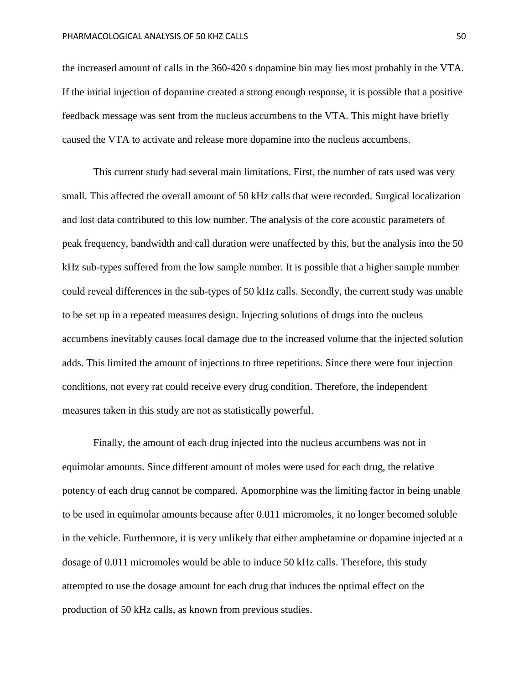the increased amount of calls in the 360-420 s dopamine bin may lies most probably in the VTA. If the initial injection of dopamine created a strong enough response, it is possible that a positive feedback message was sent from the nucleus accumbens to the VTA. This might have briefly caused the VTA to activate and release more dopamine into the nucleus accumbens.

This current study had several main limitations. First, the number of rats used was very small. This affected the overall amount of 50 kHz calls that were recorded. Surgical localization and lost data contributed to this low number. The analysis of the core acoustic parameters of peak frequency, bandwidth and call duration were unaffected by this, but the analysis into the 50 kHz sub-types suffered from the low sample number. It is possible that a higher sample number could reveal differences in the sub-types of 50 kHz calls. Secondly, the current study was unable to be set up in a repeated measures design. Injecting solutions of drugs into the nucleus accumbens inevitably causes local damage due to the increased volume that the injected solution adds. This limited the amount of injections to three repetitions. Since there were four injection conditions, not every rat could receive every drug condition. Therefore, the independent measures taken in this study are not as statistically powerful.

Finally, the amount of each drug injected into the nucleus accumbens was not in equimolar amounts. Since different amount of moles were used for each drug, the relative potency of each drug cannot be compared. Apomorphine was the limiting factor in being unable to be used in equimolar amounts because after 0.011 micromoles, it no longer becomed soluble in the vehicle. Furthermore, it is very unlikely that either amphetamine or dopamine injected at a dosage of 0.011 micromoles would be able to induce 50 kHz calls. Therefore, this study attempted to use the dosage amount for each drug that induces the optimal effect on the production of 50 kHz calls, as known from previous studies.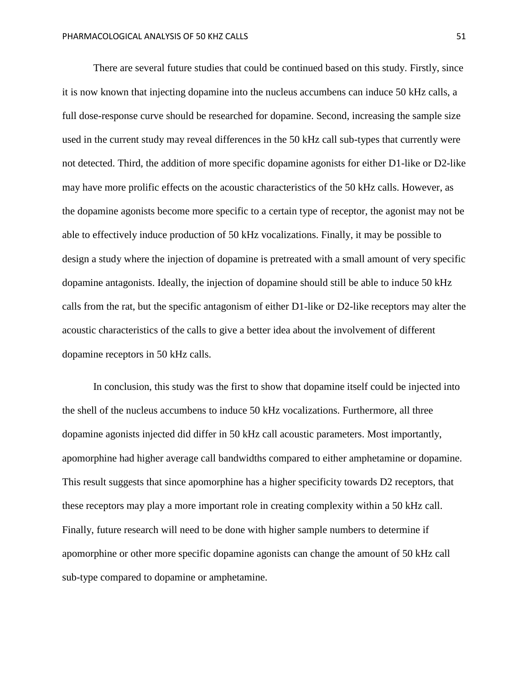There are several future studies that could be continued based on this study. Firstly, since it is now known that injecting dopamine into the nucleus accumbens can induce 50 kHz calls, a full dose-response curve should be researched for dopamine. Second, increasing the sample size used in the current study may reveal differences in the 50 kHz call sub-types that currently were not detected. Third, the addition of more specific dopamine agonists for either D1-like or D2-like may have more prolific effects on the acoustic characteristics of the 50 kHz calls. However, as the dopamine agonists become more specific to a certain type of receptor, the agonist may not be able to effectively induce production of 50 kHz vocalizations. Finally, it may be possible to design a study where the injection of dopamine is pretreated with a small amount of very specific dopamine antagonists. Ideally, the injection of dopamine should still be able to induce 50 kHz calls from the rat, but the specific antagonism of either D1-like or D2-like receptors may alter the acoustic characteristics of the calls to give a better idea about the involvement of different dopamine receptors in 50 kHz calls.

In conclusion, this study was the first to show that dopamine itself could be injected into the shell of the nucleus accumbens to induce 50 kHz vocalizations. Furthermore, all three dopamine agonists injected did differ in 50 kHz call acoustic parameters. Most importantly, apomorphine had higher average call bandwidths compared to either amphetamine or dopamine. This result suggests that since apomorphine has a higher specificity towards D2 receptors, that these receptors may play a more important role in creating complexity within a 50 kHz call. Finally, future research will need to be done with higher sample numbers to determine if apomorphine or other more specific dopamine agonists can change the amount of 50 kHz call sub-type compared to dopamine or amphetamine.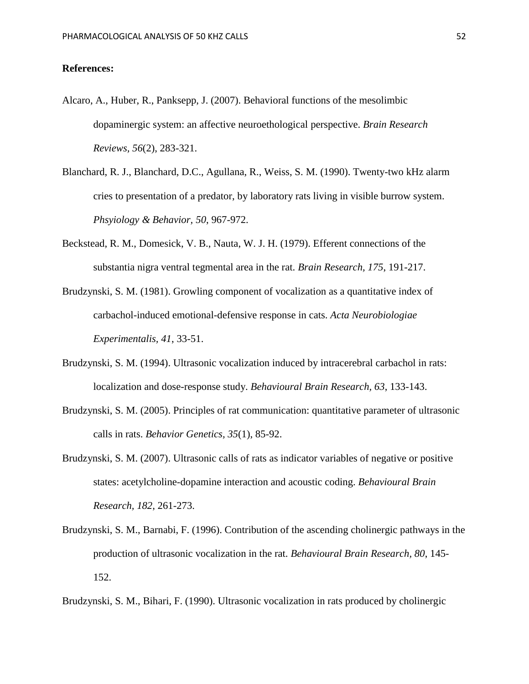#### **References:**

- Alcaro, A., Huber, R., Panksepp, J. (2007). Behavioral functions of the mesolimbic dopaminergic system: an affective neuroethological perspective. *Brain Research Reviews, 56*(2), 283-321.
- Blanchard, R. J., Blanchard, D.C., Agullana, R., Weiss, S. M. (1990). Twenty-two kHz alarm cries to presentation of a predator, by laboratory rats living in visible burrow system. *Phsyiology & Behavior, 50*, 967-972.
- Beckstead, R. M., Domesick, V. B., Nauta, W. J. H. (1979). Efferent connections of the substantia nigra ventral tegmental area in the rat. *Brain Research, 175*, 191-217.
- Brudzynski, S. M. (1981). Growling component of vocalization as a quantitative index of carbachol-induced emotional-defensive response in cats. *Acta Neurobiologiae Experimentalis, 41*, 33-51.
- Brudzynski, S. M. (1994). Ultrasonic vocalization induced by intracerebral carbachol in rats: localization and dose-response study. *Behavioural Brain Research, 63*, 133-143.
- Brudzynski, S. M. (2005). Principles of rat communication: quantitative parameter of ultrasonic calls in rats. *Behavior Genetics, 35*(1), 85-92.
- Brudzynski, S. M. (2007). Ultrasonic calls of rats as indicator variables of negative or positive states: acetylcholine-dopamine interaction and acoustic coding. *Behavioural Brain Research, 182*, 261-273.
- Brudzynski, S. M., Barnabi, F. (1996). Contribution of the ascending cholinergic pathways in the production of ultrasonic vocalization in the rat. *Behavioural Brain Research, 80*, 145- 152.

Brudzynski, S. M., Bihari, F. (1990). Ultrasonic vocalization in rats produced by cholinergic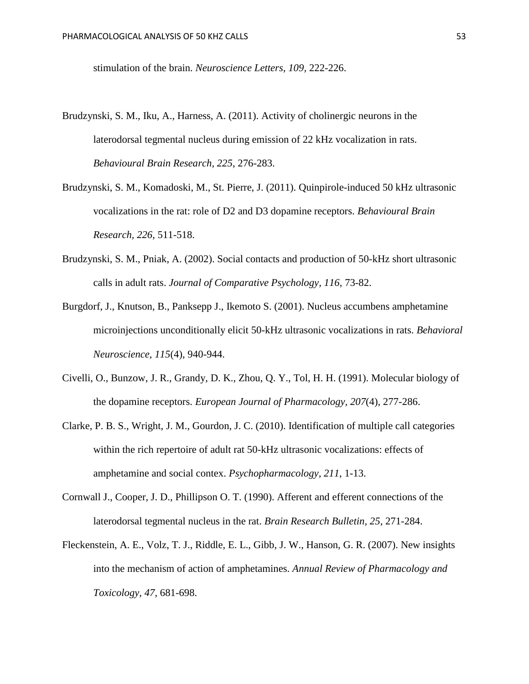stimulation of the brain. *Neuroscience Letters, 109,* 222-226.

- Brudzynski, S. M., Iku, A., Harness, A. (2011). Activity of cholinergic neurons in the laterodorsal tegmental nucleus during emission of 22 kHz vocalization in rats. *Behavioural Brain Research, 225*, 276-283.
- Brudzynski, S. M., Komadoski, M., St. Pierre, J. (2011). Quinpirole-induced 50 kHz ultrasonic vocalizations in the rat: role of D2 and D3 dopamine receptors. *Behavioural Brain Research, 226*, 511-518.
- Brudzynski, S. M., Pniak, A. (2002). Social contacts and production of 50-kHz short ultrasonic calls in adult rats. *Journal of Comparative Psychology, 116*, 73-82.
- Burgdorf, J., Knutson, B., Panksepp J., Ikemoto S. (2001). Nucleus accumbens amphetamine microinjections unconditionally elicit 50-kHz ultrasonic vocalizations in rats. *Behavioral Neuroscience, 115*(4), 940-944.
- Civelli, O., Bunzow, J. R., Grandy, D. K., Zhou, Q. Y., Tol, H. H. (1991). Molecular biology of the dopamine receptors. *European Journal of Pharmacology, 207*(4), 277-286.
- Clarke, P. B. S., Wright, J. M., Gourdon, J. C. (2010). Identification of multiple call categories within the rich repertoire of adult rat 50-kHz ultrasonic vocalizations: effects of amphetamine and social contex. *Psychopharmacology, 211*, 1-13.
- Cornwall J., Cooper, J. D., Phillipson O. T. (1990). Afferent and efferent connections of the laterodorsal tegmental nucleus in the rat. *Brain Research Bulletin, 25*, 271-284.
- Fleckenstein, A. E., Volz, T. J., Riddle, E. L., Gibb, J. W., Hanson, G. R. (2007). New insights into the mechanism of action of amphetamines. *Annual Review of Pharmacology and Toxicology, 47*, 681-698.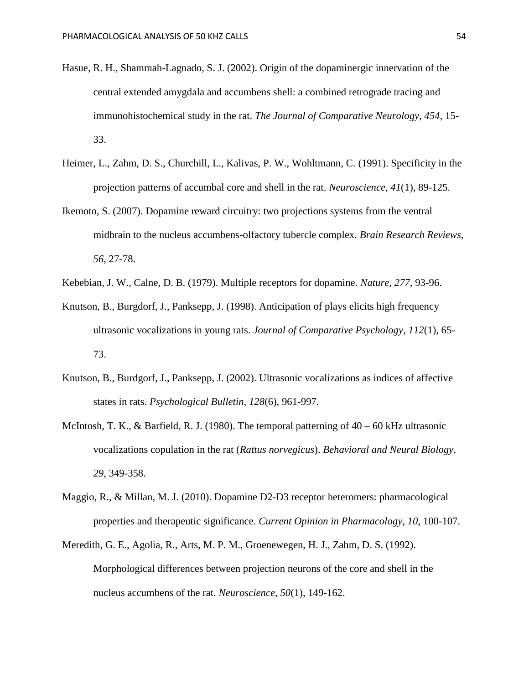- Hasue, R. H., Shammah-Lagnado, S. J. (2002). Origin of the dopaminergic innervation of the central extended amygdala and accumbens shell: a combined retrograde tracing and immunohistochemical study in the rat. *The Journal of Comparative Neurology, 454*, 15- 33.
- Heimer, L., Zahm, D. S., Churchill, L., Kalivas, P. W., Wohltmann, C. (1991). Specificity in the projection patterns of accumbal core and shell in the rat. *Neuroscience, 41*(1), 89-125.
- Ikemoto, S. (2007). Dopamine reward circuitry: two projections systems from the ventral midbrain to the nucleus accumbens-olfactory tubercle complex. *Brain Research Reviews, 56*, 27-78.
- Kebebian, J. W., Calne, D. B. (1979). Multiple receptors for dopamine. *Nature, 277*, 93-96.
- Knutson, B., Burgdorf, J., Panksepp, J. (1998). Anticipation of plays elicits high frequency ultrasonic vocalizations in young rats. *Journal of Comparative Psychology, 112*(1), 65- 73.
- Knutson, B., Burdgorf, J., Panksepp, J. (2002). Ultrasonic vocalizations as indices of affective states in rats. *Psychological Bulletin, 128*(6), 961-997.
- McIntosh, T. K., & Barfield, R. J. (1980). The temporal patterning of 40 60 kHz ultrasonic vocalizations copulation in the rat (*Rattus norvegicus*). *Behavioral and Neural Biology, 29*, 349-358.
- Maggio, R., & Millan, M. J. (2010). Dopamine D2-D3 receptor heteromers: pharmacological properties and therapeutic significance. *Current Opinion in Pharmacology, 10*, 100-107.
- Meredith, G. E., Agolia, R., Arts, M. P. M., Groenewegen, H. J., Zahm, D. S. (1992). Morphological differences between projection neurons of the core and shell in the nucleus accumbens of the rat. *Neuroscience, 50*(1), 149-162.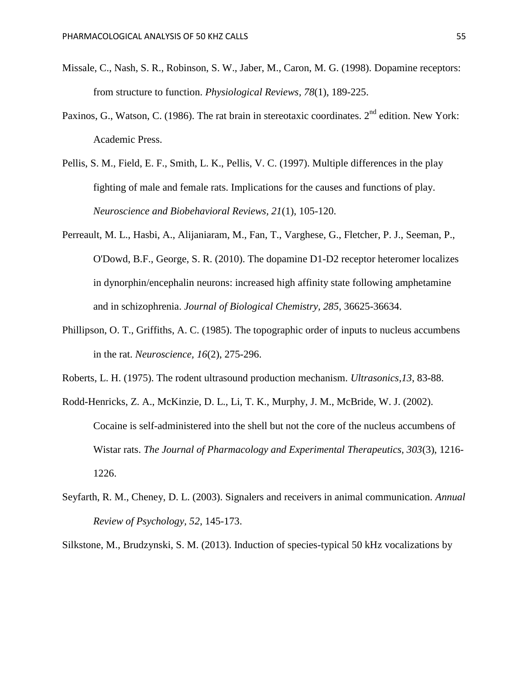- Missale, C., Nash, S. R., Robinson, S. W., Jaber, M., Caron, M. G. (1998). Dopamine receptors: from structure to function. *Physiological Reviews, 78*(1), 189-225.
- Paxinos, G., Watson, C. (1986). The rat brain in stereotaxic coordinates.  $2<sup>nd</sup>$  edition. New York: Academic Press.
- Pellis, S. M., Field, E. F., Smith, L. K., Pellis, V. C. (1997). Multiple differences in the play fighting of male and female rats. Implications for the causes and functions of play. *Neuroscience and Biobehavioral Reviews, 21*(1), 105-120.
- Perreault, M. L., Hasbi, A., Alijaniaram, M., Fan, T., Varghese, G., Fletcher, P. J., Seeman, P., O'Dowd, B.F., George, S. R. (2010). The dopamine D1-D2 receptor heteromer localizes in dynorphin/encephalin neurons: increased high affinity state following amphetamine and in schizophrenia. *Journal of Biological Chemistry, 285*, 36625-36634.
- Phillipson, O. T., Griffiths, A. C. (1985). The topographic order of inputs to nucleus accumbens in the rat. *Neuroscience, 16*(2), 275-296.
- Roberts, L. H. (1975). The rodent ultrasound production mechanism. *Ultrasonics,13*, 83-88.
- Rodd-Henricks, Z. A., McKinzie, D. L., Li, T. K., Murphy, J. M., McBride, W. J. (2002). Cocaine is self-administered into the shell but not the core of the nucleus accumbens of Wistar rats. *The Journal of Pharmacology and Experimental Therapeutics, 303*(3), 1216- 1226.
- Seyfarth, R. M., Cheney, D. L. (2003). Signalers and receivers in animal communication. *Annual Review of Psychology, 52*, 145-173.
- Silkstone, M., Brudzynski, S. M. (2013). Induction of species-typical 50 kHz vocalizations by